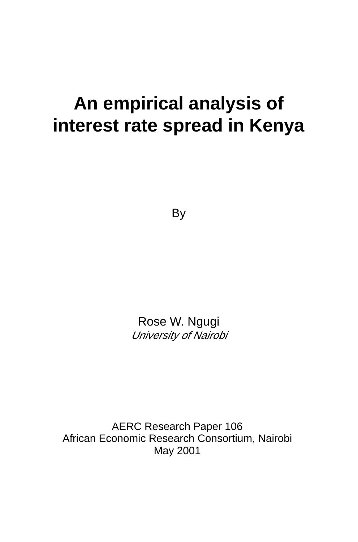# **An empirical analysis of interest rate spread in Kenya**

**By** 

Rose W. Ngugi University of Nairobi

AERC Research Paper 106 African Economic Research Consortium, Nairobi May 2001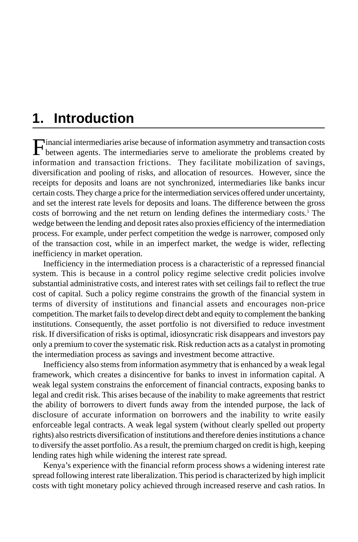## **1. Introduction**

Financial intermediaries arise because of information asymmetry and transaction costs between agents. The intermediaries serve to ameliorate the problems created by information and transaction frictions. They facilitate mobilization of savings, diversification and pooling of risks, and allocation of resources. However, since the receipts for deposits and loans are not synchronized, intermediaries like banks incur certain costs. They charge a price for the intermediation services offered under uncertainty, and set the interest rate levels for deposits and loans. The difference between the gross costs of borrowing and the net return on lending defines the intermediary costs.<sup>1</sup> The wedge between the lending and deposit rates also proxies efficiency of the intermediation process. For example, under perfect competition the wedge is narrower, composed only of the transaction cost, while in an imperfect market, the wedge is wider, reflecting inefficiency in market operation.

Inefficiency in the intermediation process is a characteristic of a repressed financial system. This is because in a control policy regime selective credit policies involve substantial administrative costs, and interest rates with set ceilings fail to reflect the true cost of capital. Such a policy regime constrains the growth of the financial system in terms of diversity of institutions and financial assets and encourages non-price competition. The market fails to develop direct debt and equity to complement the banking institutions. Consequently, the asset portfolio is not diversified to reduce investment risk. If diversification of risks is optimal, idiosyncratic risk disappears and investors pay only a premium to cover the systematic risk. Risk reduction acts as a catalyst in promoting the intermediation process as savings and investment become attractive.

Inefficiency also stems from information asymmetry that is enhanced by a weak legal framework, which creates a disincentive for banks to invest in information capital. A weak legal system constrains the enforcement of financial contracts, exposing banks to legal and credit risk. This arises because of the inability to make agreements that restrict the ability of borrowers to divert funds away from the intended purpose, the lack of disclosure of accurate information on borrowers and the inability to write easily enforceable legal contracts. A weak legal system (without clearly spelled out property rights) also restricts diversification of institutions and therefore denies institutions a chance to diversify the asset portfolio. As a result, the premium charged on credit is high, keeping lending rates high while widening the interest rate spread.

Kenya's experience with the financial reform process shows a widening interest rate spread following interest rate liberalization. This period is characterized by high implicit costs with tight monetary policy achieved through increased reserve and cash ratios. In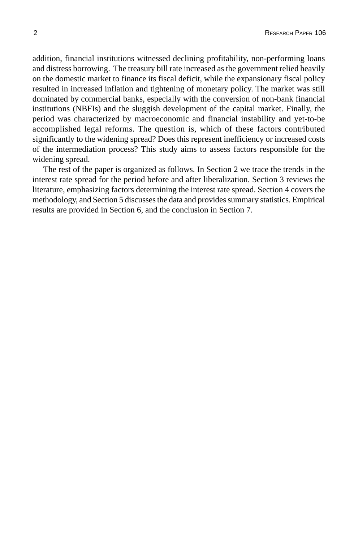addition, financial institutions witnessed declining profitability, non-performing loans and distress borrowing. The treasury bill rate increased as the government relied heavily on the domestic market to finance its fiscal deficit, while the expansionary fiscal policy resulted in increased inflation and tightening of monetary policy. The market was still dominated by commercial banks, especially with the conversion of non-bank financial institutions (NBFIs) and the sluggish development of the capital market. Finally, the period was characterized by macroeconomic and financial instability and yet-to-be accomplished legal reforms. The question is, which of these factors contributed significantly to the widening spread? Does this represent inefficiency or increased costs of the intermediation process? This study aims to assess factors responsible for the widening spread.

The rest of the paper is organized as follows. In Section 2 we trace the trends in the interest rate spread for the period before and after liberalization. Section 3 reviews the literature, emphasizing factors determining the interest rate spread. Section 4 covers the methodology, and Section 5 discusses the data and provides summary statistics. Empirical results are provided in Section 6, and the conclusion in Section 7.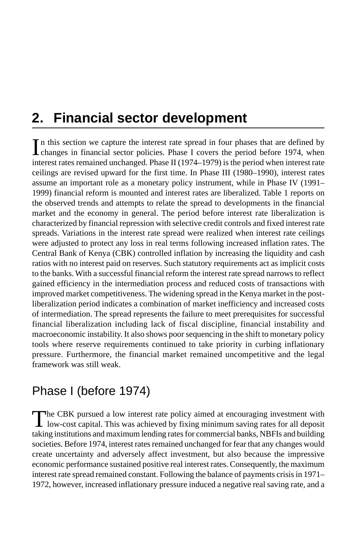## **2. Financial sector development**

In this section we capture the interest rate spread in four phases that are defined by changes in financial sector policies. Phase I covers the period before 1974, when **L** changes in financial sector policies. Phase I covers the period before 1974, when interest rates remained unchanged. Phase II (1974–1979) is the period when interest rate ceilings are revised upward for the first time. In Phase III (1980–1990), interest rates assume an important role as a monetary policy instrument, while in Phase IV (1991– 1999) financial reform is mounted and interest rates are liberalized. Table 1 reports on the observed trends and attempts to relate the spread to developments in the financial market and the economy in general. The period before interest rate liberalization is characterized by financial repression with selective credit controls and fixed interest rate spreads. Variations in the interest rate spread were realized when interest rate ceilings were adjusted to protect any loss in real terms following increased inflation rates. The Central Bank of Kenya (CBK) controlled inflation by increasing the liquidity and cash ratios with no interest paid on reserves. Such statutory requirements act as implicit costs to the banks. With a successful financial reform the interest rate spread narrows to reflect gained efficiency in the intermediation process and reduced costs of transactions with improved market competitiveness. The widening spread in the Kenya market in the postliberalization period indicates a combination of market inefficiency and increased costs of intermediation. The spread represents the failure to meet prerequisites for successful financial liberalization including lack of fiscal discipline, financial instability and macroeconomic instability. It also shows poor sequencing in the shift to monetary policy tools where reserve requirements continued to take priority in curbing inflationary pressure. Furthermore, the financial market remained uncompetitive and the legal framework was still weak.

## Phase I (before 1974)

The CBK pursued a low interest rate policy aimed at encouraging investment with low-cost capital. This was achieved by fixing minimum saving rates for all deposit taking institutions and maximum lending rates for commercial banks, NBFIs and building societies. Before 1974, interest rates remained unchanged for fear that any changes would create uncertainty and adversely affect investment, but also because the impressive economic performance sustained positive real interest rates. Consequently, the maximum interest rate spread remained constant. Following the balance of payments crisis in 1971– 1972, however, increased inflationary pressure induced a negative real saving rate, and a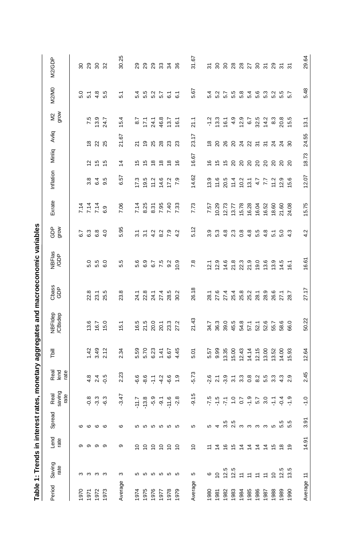|         | Table 1: Trends in interest rates, |               |                         |                                                                                                                                                                                                                                                                                                                             |                                                          |                               |                        |                                         | monetary aggregates and macroeconomic variables |                                |                                                                          |                            |                 |                                |                                |                                  |                              |
|---------|------------------------------------|---------------|-------------------------|-----------------------------------------------------------------------------------------------------------------------------------------------------------------------------------------------------------------------------------------------------------------------------------------------------------------------------|----------------------------------------------------------|-------------------------------|------------------------|-----------------------------------------|-------------------------------------------------|--------------------------------|--------------------------------------------------------------------------|----------------------------|-----------------|--------------------------------|--------------------------------|----------------------------------|------------------------------|
| Period  | Saving<br>rate                     | Lend<br>rate  | Spread                  | Real<br>saving<br>rate                                                                                                                                                                                                                                                                                                      | Real<br>lend<br>rate                                     | Tbill                         | NBFldep<br>/CBsdep     | Cbass<br>GDP                            | NBFlas<br>/GDP                                  | $\frac{a}{a}$                  | Exrate                                                                   | Inflation                  | Minliq          | Avliq                          | $rac{2}{5}$                    | <b>M2/M0</b>                     | M2/GDP                       |
| 1970    |                                    |               |                         |                                                                                                                                                                                                                                                                                                                             |                                                          |                               |                        |                                         |                                                 | 6.7                            |                                                                          |                            |                 |                                |                                |                                  |                              |
| 1971    | ო ო ო ო                            | 00 00 00      | $\circ$ $\circ$ $\circ$ |                                                                                                                                                                                                                                                                                                                             |                                                          |                               | 13.6                   | 22.8                                    | 5.0                                             | 6.3                            | 7 7 7<br>7 7 7<br>7 7 7                                                  | 3.8                        | $\overline{2}$  | $\frac{8}{1}$                  | 7.5                            | 5.1                              | នននន                         |
| 1972    |                                    |               |                         |                                                                                                                                                                                                                                                                                                                             | 2.4                                                      | $1.42$<br>3.49                | 16.7                   | 23.1                                    | 5.5<br>5                                        | $6.0$<br>$4.0$                 |                                                                          | 6.4                        | <b>55</b><br>15 | ನ ಸ                            | 13.9                           | 4.8                              |                              |
| 1973    |                                    |               |                         | ဓုံး<br>ဓုံးမို                                                                                                                                                                                                                                                                                                             |                                                          | 2.12                          | 15.0                   | 25.5                                    | G.O                                             |                                | 6.9                                                                      | 9.5                        |                 |                                | 24.7                           | 5.5                              |                              |
| Average | $\infty$                           | ၜ             | $\circ$                 | $-3.47$                                                                                                                                                                                                                                                                                                                     | 2.23                                                     | 2.34                          | 15.1                   | 23.8                                    | rö.<br>ιó.                                      | 5.95                           | 7.06                                                                     | 6.57                       | $\overline{4}$  | 21.67                          | 15.4                           | 5.1                              | 30.25                        |
| 1974    |                                    | $\frac{1}{2}$ |                         | $\begin{array}{cccccc} 7 & 7 & 8 & 9 & 7 & 6 & 8 \\ 7 & 3 & 9 & 9 & 7 & 6 & 8 \\ 1 & 9 & 9 & 9 & 7 & 9 \\ 1 & 1 & 1 & 1 & 9 & 8 \\ 1 & 1 & 1 & 1 & 1 & 9 & 8 \\ 1 & 1 & 1 & 1 & 1 & 1 & 1 \\ 1 & 1 & 1 & 1 & 1 & 1 & 1 \\ 1 & 1 & 1 & 1 & 1 & 1 & 1 \\ 1 & 1 & 1 & 1 & 1 & 1 & 1 \\ 1 & 1 & 1 & 1 & 1 & 1 & 1 \\ 1 & 1 & 1$ |                                                          | 5.59                          |                        |                                         | ဖ<br>ທ່                                         | $\overline{3.1}$               | 7.14                                                                     | 17.3                       | $\frac{15}{2}$  | ম                              | 8.7                            | 5.4                              |                              |
| 1975    |                                    |               |                         |                                                                                                                                                                                                                                                                                                                             | 6.6                                                      |                               |                        |                                         | တ္<br>6                                         | $\overline{3.1}$               | 8.25                                                                     | 19.5                       |                 |                                |                                | 5.5                              |                              |
| 1976    | <b>556666</b>                      | 22222         | <b>556666</b>           |                                                                                                                                                                                                                                                                                                                             | $\mathbb{H}$                                             | 5.70<br>6.23                  | $76.5$<br>21.5<br>20.0 | 1 8 1 1 2<br>2 2 1 1 2<br>2 2 2 2 2     | 6.7                                             | $4874$<br>$4874$               | 8.31                                                                     | 11.2                       | 56666           | 2 3 3 3 3                      | $7.7$<br>24.8                  |                                  | ន្តន្តន្តន                   |
| 1977    |                                    |               |                         |                                                                                                                                                                                                                                                                                                                             | $-4.2$                                                   | 1.41                          | 20.1<br>23.3<br>27.2   |                                         | 7.5                                             |                                | 7.95                                                                     | 14.6                       |                 |                                |                                |                                  |                              |
| 1978    |                                    |               |                         |                                                                                                                                                                                                                                                                                                                             | $-6.6$                                                   | 6.67                          |                        |                                         | 9.2                                             |                                | 7.40                                                                     | 17.2                       |                 |                                | 13.7                           |                                  |                              |
| 1979    |                                    |               |                         |                                                                                                                                                                                                                                                                                                                             | $\frac{0}{1}$                                            | 4.45                          |                        | 30.2                                    | 10.9                                            |                                | 7.33                                                                     | $\overline{7.9}$           |                 |                                | 16.1                           |                                  |                              |
| Average | 5                                  | $\frac{1}{2}$ | 5                       | $\overline{5}$<br>ှ်                                                                                                                                                                                                                                                                                                        | $-5.73$                                                  | 5.01                          | 21.43                  | 26.18                                   | 7.8                                             | 5.12                           | 7.73                                                                     | 14.62                      | 16.67           | 23.17                          | 21.1                           | 5.67                             | 59.<br>ಸ                     |
| 1980    | $\circ$                            |               | 5                       |                                                                                                                                                                                                                                                                                                                             |                                                          | 5.57                          | 34.7                   | 28.1                                    | 12.1                                            |                                | 7.57                                                                     | 13.9                       | $\frac{6}{5}$   | $\overset{\circ}{\phantom{a}}$ |                                | 5.4                              |                              |
| 1981    | $\overline{C}$                     |               | $\overline{4}$          |                                                                                                                                                                                                                                                                                                                             | $0 - 0 - 0$<br>$0 - 0 - 0$<br>$0 - 0 - 0$<br>$0 - 0 - 0$ | 9.99                          | 36.3                   | 27.6                                    | 12.9                                            | 9.<br>9.<br>9.<br>9.           | 10.29                                                                    | 11.6                       |                 |                                | $-1.3$                         |                                  | <i>ត</i> ន ន ន ន ង ន ត ន ត ត |
| 1982    | 12.5                               |               | 3.5                     |                                                                                                                                                                                                                                                                                                                             |                                                          | 13.35                         | 39.0                   | 27.4                                    | 14.6                                            | a u o 4 n 4 n<br>a w w w w 4 n |                                                                          | 20.5                       | 5588888888      | <b>8883855338</b>              | 16.1                           | <b>ひてつぶりつうこうこう</b><br>どいことりはこうこう |                              |
| 1983    | 12.5                               |               | n<br>Nimmmmnnn          |                                                                                                                                                                                                                                                                                                                             |                                                          | 15.00                         | 45.5                   |                                         |                                                 |                                | $\begin{array}{r} 12.73 \\ 13.77 \\ 15.78 \\ 16.28 \\ 16.04 \end{array}$ |                            |                 |                                |                                |                                  |                              |
| 1984    |                                    |               |                         |                                                                                                                                                                                                                                                                                                                             |                                                          | 12.43                         | 54.8                   |                                         | 213<br>21350<br>2190                            |                                |                                                                          | $11.4$<br>$10.2$<br>$13.1$ |                 |                                | $499$<br>$426$<br>$63$<br>$85$ |                                  |                              |
| 1985    | $\begin{array}{c} \pm \end{array}$ |               |                         |                                                                                                                                                                                                                                                                                                                             |                                                          |                               | 57.1                   |                                         |                                                 |                                |                                                                          |                            |                 |                                |                                |                                  |                              |
| 1986    | $\overline{\div}$                  |               |                         |                                                                                                                                                                                                                                                                                                                             |                                                          | $14.14$<br>$12.15$<br>$13.00$ | 52.1                   | 4 8 9 9 5<br>8 5 9 8 9 8<br>4 8 9 9 9 9 |                                                 |                                |                                                                          |                            |                 |                                |                                |                                  |                              |
| 1987    | $\overline{z}$                     |               |                         |                                                                                                                                                                                                                                                                                                                             | 5. 3.<br>5. 3.                                           |                               | 52.6                   |                                         | 13.6                                            |                                | 16.52                                                                    | 7.7<br>7.7                 |                 |                                | 14.2                           |                                  |                              |
| 1988    | $\overline{C}$                     |               |                         |                                                                                                                                                                                                                                                                                                                             |                                                          | 13.52                         | 55.7                   | 26.6<br>27.1                            | 13.9                                            |                                | 18.60                                                                    | 11.2                       |                 |                                | 8.3                            |                                  |                              |
| 1989    | $12.5$<br>$13.5$                   |               |                         |                                                                                                                                                                                                                                                                                                                             | 4.3                                                      | 14.00                         | 58.6<br>66.0           |                                         | $14.5$<br>16.1                                  | 5.0                            | 21.60<br>24.08                                                           | $12.9$<br>$15.6$           |                 |                                | 20.8<br>15.5                   |                                  |                              |
| 1990    |                                    |               |                         |                                                                                                                                                                                                                                                                                                                             | 2.9                                                      | 15.93                         |                        | 28.7                                    |                                                 | $4.\overline{3}$               |                                                                          |                            |                 |                                |                                |                                  |                              |
| Average | $\ddot{ }$                         | 14.91         | $\tilde{9}$<br>က        | $\frac{1}{2}$                                                                                                                                                                                                                                                                                                               | 2.45                                                     | 12.64                         | 50.22                  | 27.17                                   | 16.61                                           | 4.2                            | 15.75                                                                    | 12.07                      | 18.73           | 24.55                          | 13.1                           | 5.48                             | 29.64                        |

mic variables J Table 1: Trende in interest rat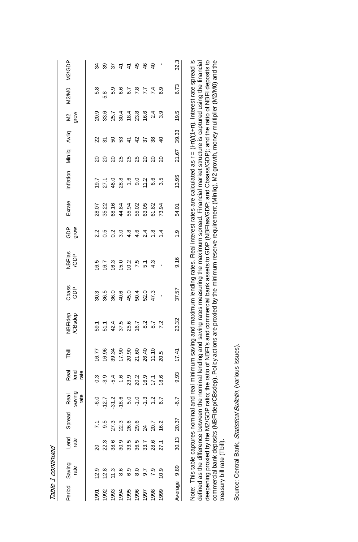|              | Period Saving<br>rate                | Lend<br>rate | Spread     | Real<br>saving<br>rate | Real<br>lend<br>rate | Tbill                                     | VBFIdep<br>CBsdep                                                                                                               | Cbass<br>GDP | NBFlas<br>/GDP | GDP<br>grow    | Exrate | Inflation | Minliq                                  | Avliq          | $rac{2}{5}$                                    | <b>M2/M0</b>       | M2/GDP         |
|--------------|--------------------------------------|--------------|------------|------------------------|----------------------|-------------------------------------------|---------------------------------------------------------------------------------------------------------------------------------|--------------|----------------|----------------|--------|-----------|-----------------------------------------|----------------|------------------------------------------------|--------------------|----------------|
| 1991         | 12.9                                 |              |            | $-6.0$                 | 0.3                  | 16.77                                     | 59.1                                                                                                                            | 30.3         | 16.5           | 2.2            | 28.07  | 19.7      | 20                                      | 22             | 20.9                                           | 5.8                | 34             |
| 1992         |                                      | 22.3         | 9.5        | .12.7                  | $-3.9$               | 16.96                                     |                                                                                                                                 | 36.5         | 16.7           | 0.5            | 35.22  | 27.1      | 20                                      | న్             |                                                | 5,8                | 39             |
| 1993         | $12.8$<br>11.3                       | 38.6         | 27.3       | Ņ<br>ಸ್ಗ               | $-5.4$               |                                           |                                                                                                                                 |              | 16.3           | 0.2            | 68.16  | 46.0      | 20                                      | SO             |                                                |                    | 57             |
| 1994<br>1995 | 8.6                                  | 30.9         | 22.3       | $-18.6$                | 1.6                  | 39.34<br>17.90<br>20.60<br>20.40<br>11.10 | 51.1<br>42.4<br>58.6<br>16.7                                                                                                    |              | 15.0           | 3.0            | 44.84  | 28.8      | 25                                      | 53             | 8<br>8<br>8<br>8<br>8<br>8<br>8<br>8<br>8<br>8 | 5.6<br>6.6         | $\frac{4}{7}$  |
|              | 6.9                                  | 33.5         | 26.6       | 5.0                    | 23.9                 |                                           |                                                                                                                                 |              | 10.2           | 4.8            | 55.94  | 1.6       | 25                                      |                |                                                | 6.7                | 45             |
| 1996         | 8.0                                  | 36.5         | 29.6<br>24 | $-1.0$                 | 20.2<br>16.9         |                                           |                                                                                                                                 |              | 7.5            | 4.6            | 55.02  | 9.0       | $\begin{array}{c} 25 \\ 20 \end{array}$ | 44             |                                                |                    |                |
| 1997         | 9.7                                  | 33.7         |            | $-1.3$                 |                      |                                           | 8.7                                                                                                                             |              | $\overline{5}$ | 2.4            | 63.05  | 11.2      |                                         | 22             |                                                | $7.740$<br>$0.770$ | 46             |
| 1998         | 7.9                                  | 28.6         | 20.7       | Ņ                      | 17,1                 |                                           |                                                                                                                                 |              | 4.3            | $\frac{8}{1}$  | 61.82  | 6.6       | 20                                      | 38             | 2.4                                            |                    | $\overline{4}$ |
| 1999         | 10.9                                 | 27.1         | 16.2       | 6.7                    | 18.6                 | 20.5                                      | 7.2                                                                                                                             |              |                | $\overline{4}$ | 73.94  | 3.5       | ន                                       | $\overline{a}$ | 3.9                                            |                    |                |
| Average      | 9.89                                 | 30.13        | 20.37      | -6.7                   | 9.93                 | 17.41                                     | 23.32                                                                                                                           | 37.57        | 9.16           | $\ddot{0}$     | 54.01  | 13.95     | 21.67                                   | 39.33          | 19.5                                           | 6.73               | 32.3           |
|              | Note: This table captures nominal an |              |            |                        |                      |                                           | d real minimum saving and maximum lending rates. Real interest rates are calculated as r = (i-n)/(1+n). Interest rate spread is |              |                |                |        |           |                                         |                |                                                |                    |                |

defined as the difference between the nominal lending and saving rates measuring the maximum spread. Financial market structure is captured using the financial<br>deepening proxied by the M2/GDP ratio; the ratio of NBFI's and Note: This table captures nominal and real minimum saving and maximum lending rates. Real interest rates are calculated as r = (i-π)/(1+π). Interest rate spread is deepening proxied by the M2/GDP ratio; the ratio of NBFI's and commercial bank assets to GDP (NBFIas/GDP; and Cbsass/GDP); and the ratio of NBFI deposits to commercial bank deposits (NBFIdep/CBsdep). Policy actions are proxied by the minimum reserve requirement (Minliq), M2 growth, money multiplier (M2/M0) and the defined as the difference between the nominal lending and saving rates measuring the maximum spread. Financial market structure is captured using the financial treasury bill rate (Tbill). treasury bill rate (Tbill).

Source: Central Bank, Statistical Bulletin, (various issues). Source: Central Bank, Statistical Bulletin, (various issues).

Table 1 continued Table 1 continued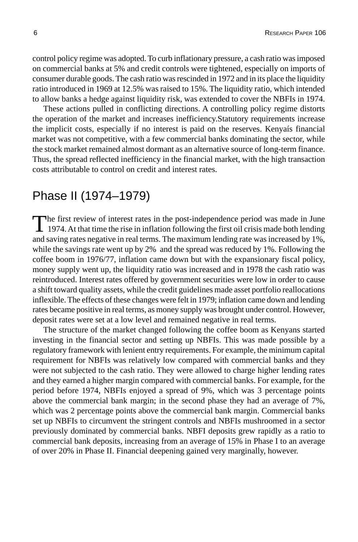control policy regime was adopted. To curb inflationary pressure, a cash ratio was imposed on commercial banks at 5% and credit controls were tightened, especially on imports of consumer durable goods. The cash ratio was rescinded in 1972 and in its place the liquidity ratio introduced in 1969 at 12.5% was raised to 15%. The liquidity ratio, which intended to allow banks a hedge against liquidity risk, was extended to cover the NBFIs in 1974.

These actions pulled in conflicting directions. A controlling policy regime distorts the operation of the market and increases inefficiency.Statutory requirements increase the implicit costs, especially if no interest is paid on the reserves. Kenyaís financial market was not competitive, with a few commercial banks dominating the sector, while the stock market remained almost dormant as an alternative source of long-term finance. Thus, the spread reflected inefficiency in the financial market, with the high transaction costs attributable to control on credit and interest rates.

## Phase II (1974–1979)

The first review of interest rates in the post-independence period was made in June 1974. At that time the rise in inflation following the first oil crisis made both lending and saving rates negative in real terms. The maximum lending rate was increased by 1%, while the savings rate went up by 2% and the spread was reduced by 1%. Following the coffee boom in 1976/77, inflation came down but with the expansionary fiscal policy, money supply went up, the liquidity ratio was increased and in 1978 the cash ratio was reintroduced. Interest rates offered by government securities were low in order to cause a shift toward quality assets, while the credit guidelines made asset portfolio reallocations inflexible. The effects of these changes were felt in 1979; inflation came down and lending rates became positive in real terms, as money supply was brought under control. However, deposit rates were set at a low level and remained negative in real terms.

The structure of the market changed following the coffee boom as Kenyans started investing in the financial sector and setting up NBFIs. This was made possible by a regulatory framework with lenient entry requirements. For example, the minimum capital requirement for NBFIs was relatively low compared with commercial banks and they were not subjected to the cash ratio. They were allowed to charge higher lending rates and they earned a higher margin compared with commercial banks. For example, for the period before 1974, NBFIs enjoyed a spread of 9%, which was 3 percentage points above the commercial bank margin; in the second phase they had an average of 7%, which was 2 percentage points above the commercial bank margin. Commercial banks set up NBFIs to circumvent the stringent controls and NBFIs mushroomed in a sector previously dominated by commercial banks. NBFI deposits grew rapidly as a ratio to commercial bank deposits, increasing from an average of 15% in Phase I to an average of over 20% in Phase II. Financial deepening gained very marginally, however.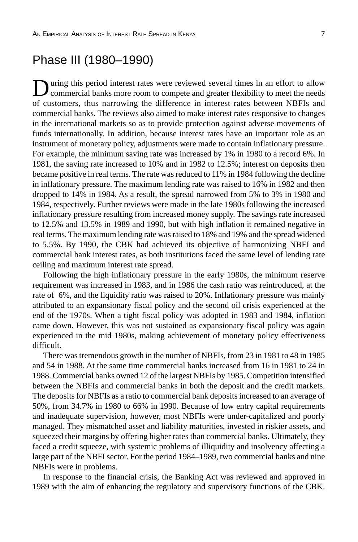## Phase III (1980–1990)

uring this period interest rates were reviewed several times in an effort to allow commercial banks more room to compete and greater flexibility to meet the needs of customers, thus narrowing the difference in interest rates between NBFIs and commercial banks. The reviews also aimed to make interest rates responsive to changes in the international markets so as to provide protection against adverse movements of funds internationally. In addition, because interest rates have an important role as an instrument of monetary policy, adjustments were made to contain inflationary pressure. For example, the minimum saving rate was increased by 1% in 1980 to a record 6%. In 1981, the saving rate increased to 10% and in 1982 to 12.5%; interest on deposits then became positive in real terms. The rate was reduced to 11% in 1984 following the decline in inflationary pressure. The maximum lending rate was raised to 16% in 1982 and then dropped to 14% in 1984. As a result, the spread narrowed from 5% to 3% in 1980 and 1984, respectively. Further reviews were made in the late 1980s following the increased inflationary pressure resulting from increased money supply. The savings rate increased to 12.5% and 13.5% in 1989 and 1990, but with high inflation it remained negative in real terms. The maximum lending rate was raised to 18% and 19% and the spread widened to 5.5%. By 1990, the CBK had achieved its objective of harmonizing NBFI and commercial bank interest rates, as both institutions faced the same level of lending rate ceiling and maximum interest rate spread.

Following the high inflationary pressure in the early 1980s, the minimum reserve requirement was increased in 1983, and in 1986 the cash ratio was reintroduced, at the rate of 6%, and the liquidity ratio was raised to 20%. Inflationary pressure was mainly attributed to an expansionary fiscal policy and the second oil crisis experienced at the end of the 1970s. When a tight fiscal policy was adopted in 1983 and 1984, inflation came down. However, this was not sustained as expansionary fiscal policy was again experienced in the mid 1980s, making achievement of monetary policy effectiveness difficult.

There was tremendous growth in the number of NBFIs, from 23 in 1981 to 48 in 1985 and 54 in 1988. At the same time commercial banks increased from 16 in 1981 to 24 in 1988. Commercial banks owned 12 of the largest NBFIs by 1985. Competition intensified between the NBFIs and commercial banks in both the deposit and the credit markets. The deposits for NBFIs as a ratio to commercial bank deposits increased to an average of 50%, from 34.7% in 1980 to 66% in 1990. Because of low entry capital requirements and inadequate supervision, however, most NBFIs were under-capitalized and poorly managed. They mismatched asset and liability maturities, invested in riskier assets, and squeezed their margins by offering higher rates than commercial banks. Ultimately, they faced a credit squeeze, with systemic problems of illiquidity and insolvency affecting a large part of the NBFI sector. For the period 1984–1989, two commercial banks and nine NBFIs were in problems.

In response to the financial crisis, the Banking Act was reviewed and approved in 1989 with the aim of enhancing the regulatory and supervisory functions of the CBK.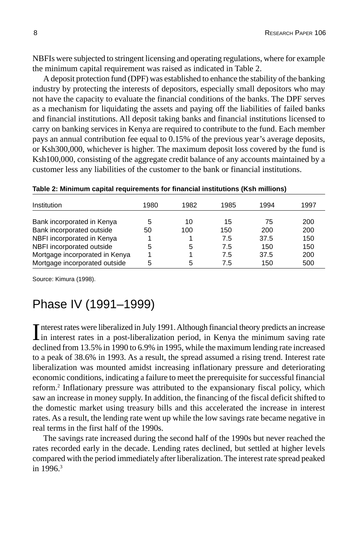NBFIs were subjected to stringent licensing and operating regulations, where for example the minimum capital requirement was raised as indicated in Table 2.

A deposit protection fund (DPF) was established to enhance the stability of the banking industry by protecting the interests of depositors, especially small depositors who may not have the capacity to evaluate the financial conditions of the banks. The DPF serves as a mechanism for liquidating the assets and paying off the liabilities of failed banks and financial institutions. All deposit taking banks and financial institutions licensed to carry on banking services in Kenya are required to contribute to the fund. Each member pays an annual contribution fee equal to 0.15% of the previous year's average deposits, or Ksh300,000, whichever is higher. The maximum deposit loss covered by the fund is Ksh100,000, consisting of the aggregate credit balance of any accounts maintained by a customer less any liabilities of the customer to the bank or financial institutions.

| Institution                    | 1980 | 1982 | 1985 | 1994 | 1997 |
|--------------------------------|------|------|------|------|------|
| Bank incorporated in Kenya     | 5    | 10   | 15   | 75   | 200  |
| Bank incorporated outside      | 50   | 100  | 150  | 200  | 200  |
| NBFI incorporated in Kenya     |      |      | 7.5  | 37.5 | 150  |
| NBFI incorporated outside      | 5    | 5    | 7.5  | 150  | 150  |
| Mortgage incorporated in Kenya |      |      | 7.5  | 37.5 | 200  |
| Mortgage incorporated outside  | 5    | 5    | 7.5  | 150  | 500  |

**Table 2: Minimum capital requirements for financial institutions (Ksh millions)**

Source: Kimura (1998).

### Phase IV (1991–1999)

Interest rates were liberalized in July 1991. Although financial theory predicts an increase<br>in interest rates in a post-liberalization period, in Kenya the minimum saving rate in interest rates in a post-liberalization period, in Kenya the minimum saving rate declined from 13.5% in 1990 to 6.9% in 1995, while the maximum lending rate increased to a peak of 38.6% in 1993. As a result, the spread assumed a rising trend. Interest rate liberalization was mounted amidst increasing inflationary pressure and deteriorating economic conditions, indicating a failure to meet the prerequisite for successful financial reform.<sup>2</sup> Inflationary pressure was attributed to the expansionary fiscal policy, which saw an increase in money supply. In addition, the financing of the fiscal deficit shifted to the domestic market using treasury bills and this accelerated the increase in interest rates. As a result, the lending rate went up while the low savings rate became negative in real terms in the first half of the 1990s.

The savings rate increased during the second half of the 1990s but never reached the rates recorded early in the decade. Lending rates declined, but settled at higher levels compared with the period immediately after liberalization. The interest rate spread peaked in 1996.<sup>3</sup>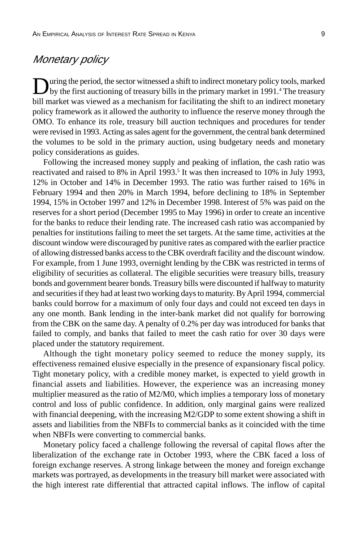#### Monetary policy

During the period, the sector witnessed a shift to indirect monetary policy tools, marked<br>by the first auctioning of treasury bills in the primary market in 1991.<sup>4</sup> The treasury bill market was viewed as a mechanism for facilitating the shift to an indirect monetary policy framework as it allowed the authority to influence the reserve money through the OMO. To enhance its role, treasury bill auction techniques and procedures for tender were revised in 1993. Acting as sales agent for the government, the central bank determined the volumes to be sold in the primary auction, using budgetary needs and monetary policy considerations as guides.

Following the increased money supply and peaking of inflation, the cash ratio was reactivated and raised to 8% in April 1993.<sup>5</sup> It was then increased to 10% in July 1993, 12% in October and 14% in December 1993. The ratio was further raised to 16% in February 1994 and then 20% in March 1994, before declining to 18% in September 1994, 15% in October 1997 and 12% in December 1998. Interest of 5% was paid on the reserves for a short period (December 1995 to May 1996) in order to create an incentive for the banks to reduce their lending rate. The increased cash ratio was accompanied by penalties for institutions failing to meet the set targets. At the same time, activities at the discount window were discouraged by punitive rates as compared with the earlier practice of allowing distressed banks access to the CBK overdraft facility and the discount window. For example, from 1 June 1993, overnight lending by the CBK was restricted in terms of eligibility of securities as collateral. The eligible securities were treasury bills, treasury bonds and government bearer bonds. Treasury bills were discounted if halfway to maturity and securities if they had at least two working days to maturity. By April 1994, commercial banks could borrow for a maximum of only four days and could not exceed ten days in any one month. Bank lending in the inter-bank market did not qualify for borrowing from the CBK on the same day. A penalty of 0.2% per day was introduced for banks that failed to comply, and banks that failed to meet the cash ratio for over 30 days were placed under the statutory requirement.

Although the tight monetary policy seemed to reduce the money supply, its effectiveness remained elusive especially in the presence of expansionary fiscal policy. Tight monetary policy, with a credible money market, is expected to yield growth in financial assets and liabilities. However, the experience was an increasing money multiplier measured as the ratio of M2/M0, which implies a temporary loss of monetary control and loss of public confidence. In addition, only marginal gains were realized with financial deepening, with the increasing M2/GDP to some extent showing a shift in assets and liabilities from the NBFIs to commercial banks as it coincided with the time when NBFIs were converting to commercial banks.

Monetary policy faced a challenge following the reversal of capital flows after the liberalization of the exchange rate in October 1993, where the CBK faced a loss of foreign exchange reserves. A strong linkage between the money and foreign exchange markets was portrayed, as developments in the treasury bill market were associated with the high interest rate differential that attracted capital inflows. The inflow of capital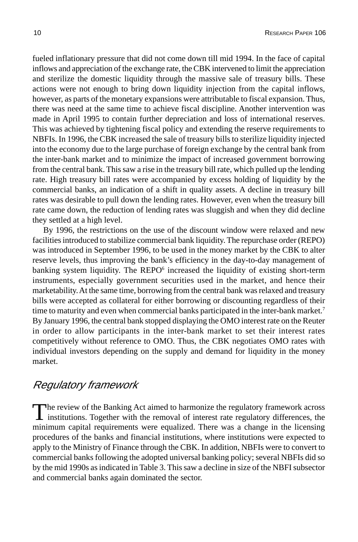fueled inflationary pressure that did not come down till mid 1994. In the face of capital inflows and appreciation of the exchange rate, the CBK intervened to limit the appreciation and sterilize the domestic liquidity through the massive sale of treasury bills. These actions were not enough to bring down liquidity injection from the capital inflows, however, as parts of the monetary expansions were attributable to fiscal expansion. Thus, there was need at the same time to achieve fiscal discipline. Another intervention was made in April 1995 to contain further depreciation and loss of international reserves. This was achieved by tightening fiscal policy and extending the reserve requirements to NBFIs. In 1996, the CBK increased the sale of treasury bills to sterilize liquidity injected into the economy due to the large purchase of foreign exchange by the central bank from the inter-bank market and to minimize the impact of increased government borrowing from the central bank. This saw a rise in the treasury bill rate, which pulled up the lending rate. High treasury bill rates were accompanied by excess holding of liquidity by the commercial banks, an indication of a shift in quality assets. A decline in treasury bill rates was desirable to pull down the lending rates. However, even when the treasury bill rate came down, the reduction of lending rates was sluggish and when they did decline they settled at a high level.

By 1996, the restrictions on the use of the discount window were relaxed and new facilities introduced to stabilize commercial bank liquidity. The repurchase order (REPO) was introduced in September 1996, to be used in the money market by the CBK to alter reserve levels, thus improving the bank's efficiency in the day-to-day management of banking system liquidity. The REPO<sup>6</sup> increased the liquidity of existing short-term instruments, especially government securities used in the market, and hence their marketability. At the same time, borrowing from the central bank was relaxed and treasury bills were accepted as collateral for either borrowing or discounting regardless of their time to maturity and even when commercial banks participated in the inter-bank market.<sup>7</sup> By January 1996, the central bank stopped displaying the OMO interest rate on the Reuter in order to allow participants in the inter-bank market to set their interest rates competitively without reference to OMO. Thus, the CBK negotiates OMO rates with individual investors depending on the supply and demand for liquidity in the money market.

### Regulatory framework

The review of the Banking Act aimed to harmonize the regulatory framework across<br>institutions. Together with the removal of interest rate regulatory differences, the minimum capital requirements were equalized. There was a change in the licensing procedures of the banks and financial institutions, where institutions were expected to apply to the Ministry of Finance through the CBK. In addition, NBFIs were to convert to commercial banks following the adopted universal banking policy; several NBFIs did so by the mid 1990s as indicated in Table 3. This saw a decline in size of the NBFI subsector and commercial banks again dominated the sector.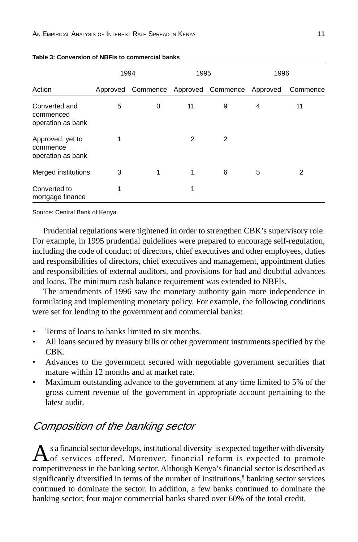|                                                   | 1994 |                                              | 1995 |   | 1996 |                |
|---------------------------------------------------|------|----------------------------------------------|------|---|------|----------------|
| Action                                            |      | Approved Commence Approved Commence Approved |      |   |      | Commence       |
| Converted and<br>commenced<br>operation as bank   | 5    | 0                                            | 11   | 9 | 4    | 11             |
| Approved; yet to<br>commence<br>operation as bank | 1    |                                              | 2    | 2 |      |                |
| Merged institutions                               | 3    | 1                                            | 1    | 6 | 5    | $\overline{2}$ |
| Converted to<br>mortgage finance                  | 1    |                                              | 1    |   |      |                |

#### **Table 3: Conversion of NBFIs to commercial banks**

Source: Central Bank of Kenya.

Prudential regulations were tightened in order to strengthen CBK's supervisory role. For example, in 1995 prudential guidelines were prepared to encourage self-regulation, including the code of conduct of directors, chief executives and other employees, duties and responsibilities of directors, chief executives and management, appointment duties and responsibilities of external auditors, and provisions for bad and doubtful advances and loans. The minimum cash balance requirement was extended to NBFIs.

The amendments of 1996 saw the monetary authority gain more independence in formulating and implementing monetary policy. For example, the following conditions were set for lending to the government and commercial banks:

- Terms of loans to banks limited to six months.
- All loans secured by treasury bills or other government instruments specified by the CBK.
- Advances to the government secured with negotiable government securities that mature within 12 months and at market rate.
- Maximum outstanding advance to the government at any time limited to 5% of the gross current revenue of the government in appropriate account pertaining to the latest audit.

### Composition of the banking sector

As a financial sector develops, institutional diversity is expected together with diversity of services offered. Moreover, financial reform is expected to promote competitiveness in the banking sector. Although Kenya's financial sector is described as significantly diversified in terms of the number of institutions,<sup>8</sup> banking sector services continued to dominate the sector. In addition, a few banks continued to dominate the banking sector; four major commercial banks shared over 60% of the total credit.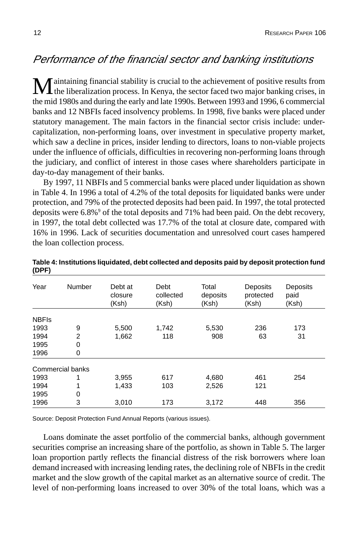### Performance of the financial sector and banking institutions

**M** aintaining financial stability is crucial to the achievement of positive results from<br>the liberalization process. In Kenya, the sector faced two major banking crises, in the mid 1980s and during the early and late 1990s. Between 1993 and 1996, 6 commercial banks and 12 NBFIs faced insolvency problems. In 1998, five banks were placed under statutory management. The main factors in the financial sector crisis include: undercapitalization, non-performing loans, over investment in speculative property market, which saw a decline in prices, insider lending to directors, loans to non-viable projects under the influence of officials, difficulties in recovering non-performing loans through the judiciary, and conflict of interest in those cases where shareholders participate in day-to-day management of their banks.

By 1997, 11 NBFIs and 5 commercial banks were placed under liquidation as shown in Table 4. In 1996 a total of 4.2% of the total deposits for liquidated banks were under protection, and 79% of the protected deposits had been paid. In 1997, the total protected deposits were 6.8%<sup>9</sup> of the total deposits and 71% had been paid. On the debt recovery, in 1997, the total debt collected was 17.7% of the total at closure date, compared with 16% in 1996. Lack of securities documentation and unresolved court cases hampered the loan collection process.

| Year         | Number           | Debt at<br>closure<br>(Ksh) | Debt<br>collected<br>(Ksh) | Total<br>deposits<br>(Ksh) | Deposits<br>protected<br>(Ksh) | Deposits<br>paid<br>(Ksh) |
|--------------|------------------|-----------------------------|----------------------------|----------------------------|--------------------------------|---------------------------|
| <b>NBFIs</b> |                  |                             |                            |                            |                                |                           |
| 1993         | 9                | 5,500                       | 1,742                      | 5,530                      | 236                            | 173                       |
| 1994         | $\overline{2}$   | 1,662                       | 118                        | 908                        | 63                             | 31                        |
| 1995         | $\Omega$         |                             |                            |                            |                                |                           |
| 1996         | 0                |                             |                            |                            |                                |                           |
|              | Commercial banks |                             |                            |                            |                                |                           |
| 1993         | 1                | 3,955                       | 617                        | 4,680                      | 461                            | 254                       |
| 1994         | 1                | 1.433                       | 103                        | 2,526                      | 121                            |                           |
| 1995         | 0                |                             |                            |                            |                                |                           |
| 1996         | 3                | 3,010                       | 173                        | 3,172                      | 448                            | 356                       |

**Table 4: Institutions liquidated, debt collected and deposits paid by deposit protection fund (DPF)**

Source: Deposit Protection Fund Annual Reports (various issues).

Loans dominate the asset portfolio of the commercial banks, although government securities comprise an increasing share of the portfolio, as shown in Table 5. The larger loan proportion partly reflects the financial distress of the risk borrowers where loan demand increased with increasing lending rates, the declining role of NBFIs in the credit market and the slow growth of the capital market as an alternative source of credit. The level of non-performing loans increased to over 30% of the total loans, which was a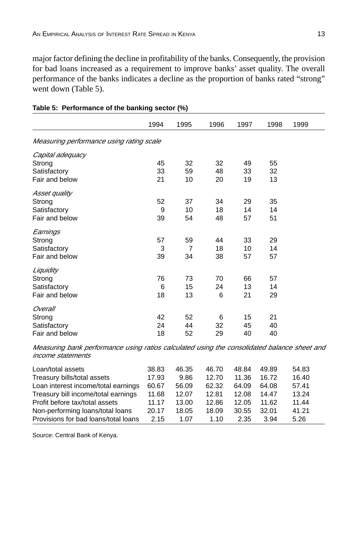major factor defining the decline in profitability of the banks. Consequently, the provision for bad loans increased as a requirement to improve banks' asset quality. The overall performance of the banks indicates a decline as the proportion of banks rated "strong" went down (Table 5).

|                                                                                             | 1994 | 1995           | 1996 | 1997 | 1998 | 1999 |
|---------------------------------------------------------------------------------------------|------|----------------|------|------|------|------|
| Measuring performance using rating scale                                                    |      |                |      |      |      |      |
| Capital adequacy                                                                            |      |                |      |      |      |      |
| Strong                                                                                      | 45   | 32             | 32   | 49   | 55   |      |
| Satisfactory                                                                                | 33   | 59             | 48   | 33   | 32   |      |
| Fair and below                                                                              | 21   | 10             | 20   | 19   | 13   |      |
| Asset quality                                                                               |      |                |      |      |      |      |
| Strong                                                                                      | 52   | 37             | 34   | 29   | 35   |      |
| Satisfactory                                                                                | 9    | 10             | 18   | 14   | 14   |      |
| Fair and below                                                                              | 39   | 54             | 48   | 57   | 51   |      |
| Earnings                                                                                    |      |                |      |      |      |      |
| Strong                                                                                      | 57   | 59             | 44   | 33   | 29   |      |
| Satisfactory                                                                                | 3    | $\overline{7}$ | 18   | 10   | 14   |      |
| Fair and below                                                                              | 39   | 34             | 38   | 57   | 57   |      |
| Liquidity                                                                                   |      |                |      |      |      |      |
| Strong                                                                                      | 76   | 73             | 70   | 66   | 57   |      |
| Satisfactory                                                                                | 6    | 15             | 24   | 13   | 14   |      |
| Fair and below                                                                              | 18   | 13             | 6    | 21   | 29   |      |
| Overall                                                                                     |      |                |      |      |      |      |
| Strong                                                                                      | 42   | 52             | 6    | 15   | 21   |      |
| Satisfactory                                                                                | 24   | 44             | 32   | 45   | 40   |      |
| Fair and below                                                                              | 18   | 52             | 29   | 40   | 40   |      |
| Measuring bank performance using ratios calculated using the consolidated balance sheet and |      |                |      |      |      |      |

#### **Table 5: Performance of the banking sector (%)**

Measuring bank performance using ratios calculated using the consolidated balance sheet and income statements

| Loan/total assets                    | 38.83 | 46.35 | 46.70 | 48.84 | 49.89 | 54.83 |
|--------------------------------------|-------|-------|-------|-------|-------|-------|
| Treasury bills/total assets          | 17.93 | 9.86  | 12.70 | 11.36 | 16.72 | 16.40 |
| Loan interest income/total earnings  | 60.67 | 56.09 | 62.32 | 64.09 | 64.08 | 57.41 |
| Treasury bill income/total earnings  | 11.68 | 12.07 | 12.81 | 12.08 | 14.47 | 13.24 |
| Profit before tax/total assets       | 11.17 | 13.00 | 12.86 | 12.05 | 11.62 | 11.44 |
| Non-performing loans/total loans     | 20.17 | 18.05 | 18.09 | 30.55 | 32.01 | 41.21 |
| Provisions for bad loans/total loans | 2.15  | 1.07  | 1.10  | 2.35  | 3.94  | 5.26  |

Source: Central Bank of Kenya.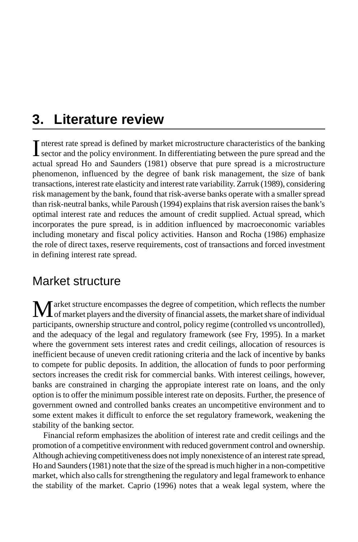## **3. Literature review**

Interest rate spread is defined by market microstructure characteristics of the banking<br>sector and the policy environment. In differentiating between the pure spread and the  $\blacksquare$  iterest rate spread is defined by market microstructure characteristics of the banking actual spread Ho and Saunders (1981) observe that pure spread is a microstructure phenomenon, influenced by the degree of bank risk management, the size of bank transactions, interest rate elasticity and interest rate variability. Zarruk (1989), considering risk management by the bank, found that risk-averse banks operate with a smaller spread than risk-neutral banks, while Paroush (1994) explains that risk aversion raises the bank's optimal interest rate and reduces the amount of credit supplied. Actual spread, which incorporates the pure spread, is in addition influenced by macroeconomic variables including monetary and fiscal policy activities. Hanson and Rocha (1986) emphasize the role of direct taxes, reserve requirements, cost of transactions and forced investment in defining interest rate spread.

### Market structure

Market structure encompasses the degree of competition, which reflects the number<br>of market players and the diversity of financial assets, the market share of individual participants, ownership structure and control, policy regime (controlled vs uncontrolled), and the adequacy of the legal and regulatory framework (see Fry, 1995). In a market where the government sets interest rates and credit ceilings, allocation of resources is inefficient because of uneven credit rationing criteria and the lack of incentive by banks to compete for public deposits. In addition, the allocation of funds to poor performing sectors increases the credit risk for commercial banks. With interest ceilings, however, banks are constrained in charging the appropiate interest rate on loans, and the only option is to offer the minimum possible interest rate on deposits. Further, the presence of government owned and controlled banks creates an uncompetitive environment and to some extent makes it difficult to enforce the set regulatory framework, weakening the stability of the banking sector.

Financial reform emphasizes the abolition of interest rate and credit ceilings and the promotion of a competitive environment with reduced government control and ownership. Although achieving competitiveness does not imply nonexistence of an interest rate spread, Ho and Saunders (1981) note that the size of the spread is much higher in a non-competitive market, which also calls for strengthening the regulatory and legal framework to enhance the stability of the market. Caprio (1996) notes that a weak legal system, where the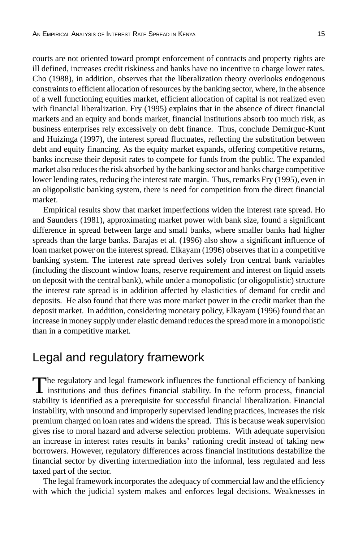courts are not oriented toward prompt enforcement of contracts and property rights are ill defined, increases credit riskiness and banks have no incentive to charge lower rates. Cho (1988), in addition, observes that the liberalization theory overlooks endogenous constraints to efficient allocation of resources by the banking sector, where, in the absence of a well functioning equities market, efficient allocation of capital is not realized even with financial liberalization. Fry (1995) explains that in the absence of direct financial markets and an equity and bonds market, financial institutions absorb too much risk, as business enterprises rely excessively on debt finance. Thus, conclude Demirguc-Kunt and Huizinga (1997), the interest spread fluctuates, reflecting the substitution between debt and equity financing. As the equity market expands, offering competitive returns, banks increase their deposit rates to compete for funds from the public. The expanded market also reduces the risk absorbed by the banking sector and banks charge competitive lower lending rates, reducing the interest rate margin. Thus, remarks Fry (1995), even in an oligopolistic banking system, there is need for competition from the direct financial market.

Empirical results show that market imperfections widen the interest rate spread. Ho and Saunders (1981), approximating market power with bank size, found a significant difference in spread between large and small banks, where smaller banks had higher spreads than the large banks. Barajas et al. (1996) also show a significant influence of loan market power on the interest spread. Elkayam (1996) observes that in a competitive banking system. The interest rate spread derives solely fron central bank variables (including the discount window loans, reserve requirement and interest on liquid assets on deposit with the central bank), while under a monopolistic (or oligopolistic) structure the interest rate spread is in addition affected by elasticities of demand for credit and deposits. He also found that there was more market power in the credit market than the deposit market. In addition, considering monetary policy, Elkayam (1996) found that an increase in money supply under elastic demand reduces the spread more in a monopolistic than in a competitive market.

### Legal and regulatory framework

The regulatory and legal framework influences the functional efficiency of banking<br>institutions and thus defines financial stability. In the reform process, financial<br>in stability is identified as a prerequisite for successful financial liberalization. Financial instability, with unsound and improperly supervised lending practices, increases the risk premium charged on loan rates and widens the spread. This is because weak supervision gives rise to moral hazard and adverse selection problems. With adequate supervision an increase in interest rates results in banks' rationing credit instead of taking new borrowers. However, regulatory differences across financial institutions destabilize the financial sector by diverting intermediation into the informal, less regulated and less taxed part of the sector.

The legal framework incorporates the adequacy of commercial law and the efficiency with which the judicial system makes and enforces legal decisions. Weaknesses in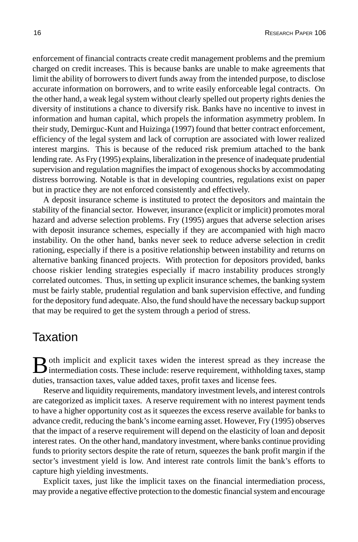enforcement of financial contracts create credit management problems and the premium charged on credit increases. This is because banks are unable to make agreements that limit the ability of borrowers to divert funds away from the intended purpose, to disclose accurate information on borrowers, and to write easily enforceable legal contracts. On the other hand, a weak legal system without clearly spelled out property rights denies the diversity of institutions a chance to diversify risk. Banks have no incentive to invest in information and human capital, which propels the information asymmetry problem. In their study, Demirguc-Kunt and Huizinga (1997) found that better contract enforcement, efficiency of the legal system and lack of corruption are associated with lower realized interest margins. This is because of the reduced risk premium attached to the bank lending rate. As Fry (1995) explains, liberalization in the presence of inadequate prudential supervision and regulation magnifies the impact of exogenous shocks by accommodating distress borrowing. Notable is that in developing countries, regulations exist on paper but in practice they are not enforced consistently and effectively.

A deposit insurance scheme is instituted to protect the depositors and maintain the stability of the financial sector. However, insurance (explicit or implicit) promotes moral hazard and adverse selection problems. Fry (1995) argues that adverse selection arises with deposit insurance schemes, especially if they are accompanied with high macro instability. On the other hand, banks never seek to reduce adverse selection in credit rationing, especially if there is a positive relationship between instability and returns on alternative banking financed projects. With protection for depositors provided, banks choose riskier lending strategies especially if macro instability produces strongly correlated outcomes. Thus, in setting up explicit insurance schemes, the banking system must be fairly stable, prudential regulation and bank supervision effective, and funding for the depository fund adequate. Also, the fund should have the necessary backup support that may be required to get the system through a period of stress.

### **Taxation**

Both implicit and explicit taxes widen the interest spread as they increase the intermediation costs. These include: reserve requirement, withholding taxes, stamp duties, transaction taxes, value added taxes, profit taxes and license fees.

Reserve and liquidity requirements, mandatory investment levels, and interest controls are categorized as implicit taxes. A reserve requirement with no interest payment tends to have a higher opportunity cost as it squeezes the excess reserve available for banks to advance credit, reducing the bank's income earning asset. However, Fry (1995) observes that the impact of a reserve requirement will depend on the elasticity of loan and deposit interest rates. On the other hand, mandatory investment, where banks continue providing funds to priority sectors despite the rate of return, squeezes the bank profit margin if the sector's investment yield is low. And interest rate controls limit the bank's efforts to capture high yielding investments.

Explicit taxes, just like the implicit taxes on the financial intermediation process, may provide a negative effective protection to the domestic financial system and encourage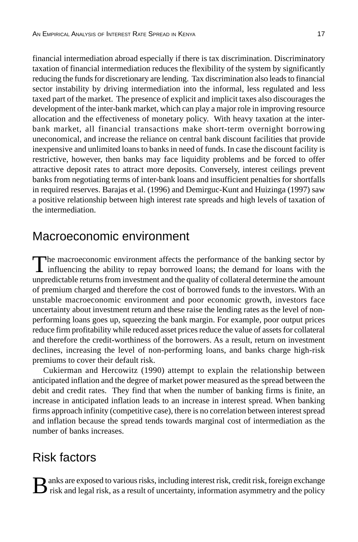financial intermediation abroad especially if there is tax discrimination. Discriminatory taxation of financial intermediation reduces the flexibility of the system by significantly reducing the funds for discretionary are lending. Tax discrimination also leads to financial sector instability by driving intermediation into the informal, less regulated and less taxed part of the market. The presence of explicit and implicit taxes also discourages the development of the inter-bank market, which can play a major role in improving resource allocation and the effectiveness of monetary policy. With heavy taxation at the interbank market, all financial transactions make short-term overnight borrowing uneconomical, and increase the reliance on central bank discount facilities that provide inexpensive and unlimited loans to banks in need of funds. In case the discount facility is restrictive, however, then banks may face liquidity problems and be forced to offer attractive deposit rates to attract more deposits. Conversely, interest ceilings prevent banks from negotiating terms of inter-bank loans and insufficient penalties for shortfalls in required reserves. Barajas et al. (1996) and Demirguc-Kunt and Huizinga (1997) saw a positive relationship between high interest rate spreads and high levels of taxation of the intermediation.

### Macroeconomic environment

The macroeconomic environment affects the performance of the banking sector by influencing the ability to repay borrowed loans; the demand for loans with the unpredictable returns from investment and the quality of collateral determine the amount of premium charged and therefore the cost of borrowed funds to the investors. With an unstable macroeconomic environment and poor economic growth, investors face uncertainty about investment return and these raise the lending rates as the level of nonperforming loans goes up, squeezing the bank margin. For example, poor output prices reduce firm profitability while reduced asset prices reduce the value of assets for collateral and therefore the credit-worthiness of the borrowers. As a result, return on investment declines, increasing the level of non-performing loans, and banks charge high-risk premiums to cover their default risk.

Cukierman and Hercowitz (1990) attempt to explain the relationship between anticipated inflation and the degree of market power measured as the spread between the debit and credit rates. They find that when the number of banking firms is finite, an increase in anticipated inflation leads to an increase in interest spread. When banking firms approach infinity (competitive case), there is no correlation between interest spread and inflation because the spread tends towards marginal cost of intermediation as the number of banks increases.

### Risk factors

 $\bf B$  anks are exposed to various risks, including interest risk, credit risk, foreign exchange risk and legal risk, as a result of uncertainty, information asymmetry and the policy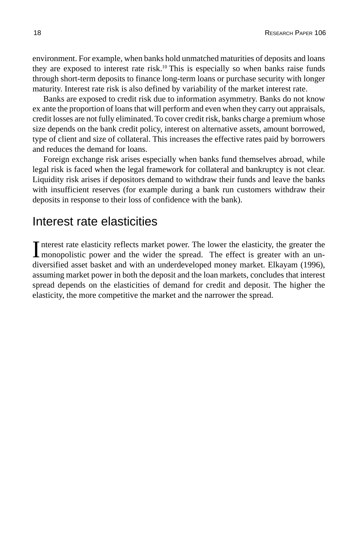environment. For example, when banks hold unmatched maturities of deposits and loans they are exposed to interest rate risk.10 This is especially so when banks raise funds through short-term deposits to finance long-term loans or purchase security with longer maturity. Interest rate risk is also defined by variability of the market interest rate.

Banks are exposed to credit risk due to information asymmetry. Banks do not know ex ante the proportion of loans that will perform and even when they carry out appraisals, credit losses are not fully eliminated. To cover credit risk, banks charge a premium whose size depends on the bank credit policy, interest on alternative assets, amount borrowed, type of client and size of collateral. This increases the effective rates paid by borrowers and reduces the demand for loans.

Foreign exchange risk arises especially when banks fund themselves abroad, while legal risk is faced when the legal framework for collateral and bankruptcy is not clear. Liquidity risk arises if depositors demand to withdraw their funds and leave the banks with insufficient reserves (for example during a bank run customers withdraw their deposits in response to their loss of confidence with the bank).

### Interest rate elasticities

Interest rate elasticity reflects market power. The lower the elasticity, the greater the monopolistic power and the wider the spread. The effect is greater with an unnterest rate elasticity reflects market power. The lower the elasticity, the greater the diversified asset basket and with an underdeveloped money market. Elkayam (1996), assuming market power in both the deposit and the loan markets, concludes that interest spread depends on the elasticities of demand for credit and deposit. The higher the elasticity, the more competitive the market and the narrower the spread.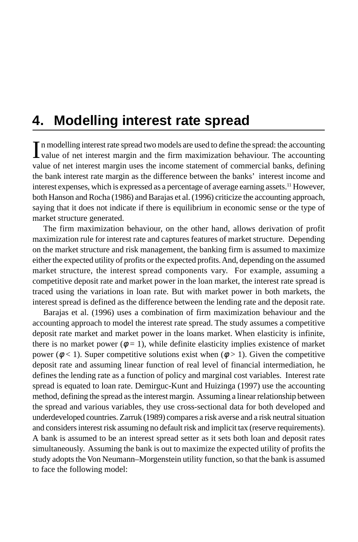## **4. Modelling interest rate spread**

In modelling interest rate spread two models are used to define the spread: the accounting value of net interest margin and the firm maximization behaviour. The accounting In modelling interest rate spread two models are used to define the spread: the accounting value of net interest margin uses the income statement of commercial banks, defining the bank interest rate margin as the difference between the banks' interest income and interest expenses, which is expressed as a percentage of average earning assets.11 However, both Hanson and Rocha (1986) and Barajas et al. (1996) criticize the accounting approach, saying that it does not indicate if there is equilibrium in economic sense or the type of market structure generated.

The firm maximization behaviour, on the other hand, allows derivation of profit maximization rule for interest rate and captures features of market structure. Depending on the market structure and risk management, the banking firm is assumed to maximize either the expected utility of profits or the expected profits. And, depending on the assumed market structure, the interest spread components vary. For example, assuming a competitive deposit rate and market power in the loan market, the interest rate spread is traced using the variations in loan rate. But with market power in both markets, the interest spread is defined as the difference between the lending rate and the deposit rate.

Barajas et al. (1996) uses a combination of firm maximization behaviour and the accounting approach to model the interest rate spread. The study assumes a competitive deposit rate market and market power in the loans market. When elasticity is infinite, there is no market power ( $\phi = 1$ ), while definite elasticity implies existence of market power ( $\phi$  < 1). Super competitive solutions exist when ( $\phi$  > 1). Given the competitive deposit rate and assuming linear function of real level of financial intermediation, he defines the lending rate as a function of policy and marginal cost variables. Interest rate spread is equated to loan rate. Demirguc-Kunt and Huizinga (1997) use the accounting method, defining the spread as the interest margin. Assuming a linear relationship between the spread and various variables, they use cross-sectional data for both developed and underdeveloped countries. Zarruk (1989) compares a risk averse and a risk neutral situation and considers interest risk assuming no default risk and implicit tax (reserve requirements). A bank is assumed to be an interest spread setter as it sets both loan and deposit rates simultaneously. Assuming the bank is out to maximize the expected utility of profits the study adopts the Von Neumann–Morgenstein utility function, so that the bank is assumed to face the following model: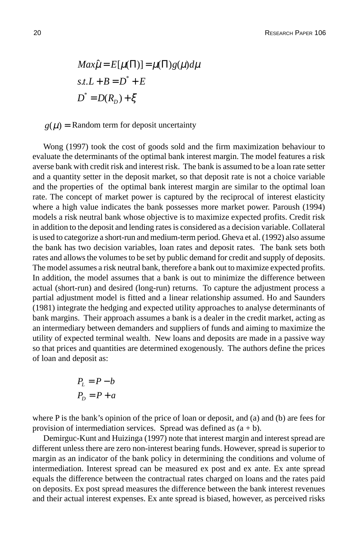$$
Max\hat{\mu} = E[\mu(\Pi)] = \mu(\Pi)g(\mu)d\mu
$$
  
s.t.  $L + B = D^* + E$   

$$
D^* = D(R_D) + \xi
$$

 $g(\mu)$  = Random term for deposit uncertainty

Wong (1997) took the cost of goods sold and the firm maximization behaviour to evaluate the determinants of the optimal bank interest margin. The model features a risk averse bank with credit risk and interest risk. The bank is assumed to be a loan rate setter and a quantity setter in the deposit market, so that deposit rate is not a choice variable and the properties of the optimal bank interest margin are similar to the optimal loan rate. The concept of market power is captured by the reciprocal of interest elasticity where a high value indicates the bank possesses more market power. Paroush (1994) models a risk neutral bank whose objective is to maximize expected profits. Credit risk in addition to the deposit and lending rates is considered as a decision variable. Collateral is used to categorize a short-run and medium-term period. Gheva et al. (1992) also assume the bank has two decision variables, loan rates and deposit rates. The bank sets both rates and allows the volumes to be set by public demand for credit and supply of deposits. The model assumes a risk neutral bank, therefore a bank out to maximize expected profits. In addition, the model assumes that a bank is out to minimize the difference between actual (short-run) and desired (long-run) returns. To capture the adjustment process a partial adjustment model is fitted and a linear relationship assumed. Ho and Saunders (1981) integrate the hedging and expected utility approaches to analyse determinants of bank margins. Their approach assumes a bank is a dealer in the credit market, acting as an intermediary between demanders and suppliers of funds and aiming to maximize the utility of expected terminal wealth. New loans and deposits are made in a passive way so that prices and quantities are determined exogenously. The authors define the prices of loan and deposit as:

$$
P_L = P - b
$$

$$
P_D = P + a
$$

where P is the bank's opinion of the price of loan or deposit, and (a) and (b) are fees for provision of intermediation services. Spread was defined as  $(a + b)$ .

Demirguc-Kunt and Huizinga (1997) note that interest margin and interest spread are different unless there are zero non-interest bearing funds. However, spread is superior to margin as an indicator of the bank policy in determining the conditions and volume of intermediation. Interest spread can be measured ex post and ex ante. Ex ante spread equals the difference between the contractual rates charged on loans and the rates paid on deposits. Ex post spread measures the difference between the bank interest revenues and their actual interest expenses. Ex ante spread is biased, however, as perceived risks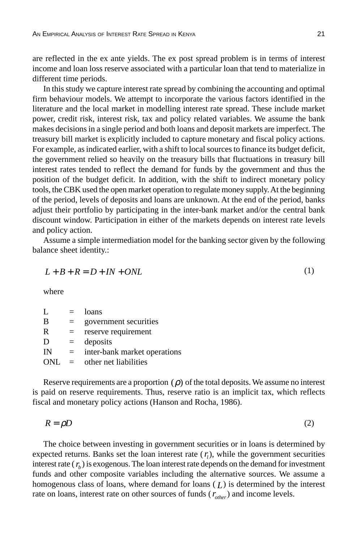are reflected in the ex ante yields. The ex post spread problem is in terms of interest income and loan loss reserve associated with a particular loan that tend to materialize in different time periods.

In this study we capture interest rate spread by combining the accounting and optimal firm behaviour models. We attempt to incorporate the various factors identified in the literature and the local market in modelling interest rate spread. These include market power, credit risk, interest risk, tax and policy related variables. We assume the bank makes decisions in a single period and both loans and deposit markets are imperfect. The treasury bill market is explicitly included to capture monetary and fiscal policy actions. For example, as indicated earlier, with a shift to local sources to finance its budget deficit, the government relied so heavily on the treasury bills that fluctuations in treasury bill interest rates tended to reflect the demand for funds by the government and thus the position of the budget deficit. In addition, with the shift to indirect monetary policy tools, the CBK used the open market operation to regulate money supply. At the beginning of the period, levels of deposits and loans are unknown. At the end of the period, banks adjust their portfolio by participating in the inter-bank market and/or the central bank discount window. Participation in either of the markets depends on interest rate levels and policy action.

Assume a simple intermediation model for the banking sector given by the following balance sheet identity.:

$$
L + B + R = D + IN + ONL \tag{1}
$$

where

|     | $=$ | loans                        |
|-----|-----|------------------------------|
| B   |     | government securities        |
| R   | =   | reserve requirement          |
| D   | $=$ | deposits                     |
| IN  |     | inter-bank market operations |
| ONL |     | other net liabilities        |

Reserve requirements are a proportion  $(\rho)$  of the total deposits. We assume no interest is paid on reserve requirements. Thus, reserve ratio is an implicit tax, which reflects fiscal and monetary policy actions (Hanson and Rocha, 1986).

$$
R = \rho D \tag{2}
$$

The choice between investing in government securities or in loans is determined by expected returns. Banks set the loan interest rate  $(r_i)$ , while the government securities interest rate  $(r_b)$  is exogenous. The loan interest rate depends on the demand for investment funds and other composite variables including the alternative sources. We assume a homogenous class of loans, where demand for loans ( *L*) is determined by the interest rate on loans, interest rate on other sources of funds  $(r_{other})$  and income levels.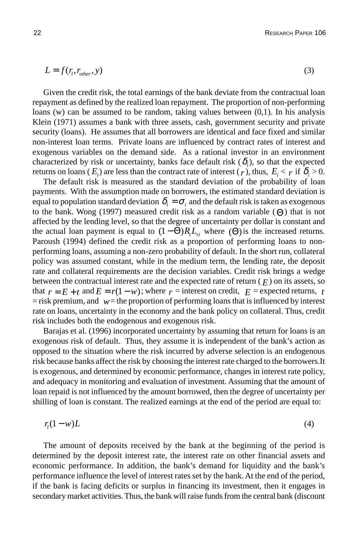$$
L = f(r_i, r_{other}, y) \tag{3}
$$

Given the credit risk, the total earnings of the bank deviate from the contractual loan repayment as defined by the realized loan repayment. The proportion of non-performing loans (w) can be assumed to be random, taking values between (0,1). In his analysis Klein (1971) assumes a bank with three assets, cash, government security and private security (loans). He assumes that all borrowers are identical and face fixed and similar non-interest loan terms. Private loans are influenced by contract rates of interest and exogenous variables on the demand side. As a rational investor in an environment characterized by risk or uncertainty, banks face default risk  $(\delta_i)$ , so that the expected returns on loans ( $E_i$ ) are less than the contract rate of interest ( $r$ ), thus,  $E_i < r$  if  $\delta_i > 0$ .

The default risk is measured as the standard deviation of the probability of loan payments. With the assumption made on borrowers, the estimated standard deviation is equal to population standard deviation  $\delta_i = \sigma_i$  and the default risk is taken as exogenous to the bank. Wong (1997) measured credit risk as a random variable (Θ) that is not affected by the lending level, so that the degree of uncertainty per dollar is constant and the actual loan payment is equal to  $(1 - \Theta)R_{i}L_{i}$  where  $(\Theta)$  is the increased returns. Paroush (1994) defined the credit risk as a proportion of performing loans to nonperforming loans, assuming a non-zero probability of default. In the short run, collateral policy was assumed constant, while in the medium term, the lending rate, the deposit rate and collateral requirements are the decision variables. Credit risk brings a wedge between the contractual interest rate and the expected rate of return  $(F)$  on its assets, so that  $r = E + t$  and  $E = r(1 - w)$ ; where  $r =$  interest on credit,  $E =$  expected returns, *t*  $=$  risk premium, and  $w=$  the proportion of performing loans that is influenced by interest rate on loans, uncertainty in the economy and the bank policy on collateral. Thus, credit risk includes both the endogenous and exogenous risk.

Barajas et al. (1996) incorporated uncertainty by assuming that return for loans is an exogenous risk of default. Thus, they assume it is independent of the bank's action as opposed to the situation where the risk incurred by adverse selection is an endogenous risk because banks affect the risk by choosing the interest rate charged to the borrowers.It is exogenous, and determined by economic performance, changes in interest rate policy, and adequacy in monitoring and evaluation of investment. Assuming that the amount of loan repaid is not influenced by the amount borrowed, then the degree of uncertainty per shilling of loan is constant. The realized earnings at the end of the period are equal to:

$$
r_l(1-w)L\tag{4}
$$

The amount of deposits received by the bank at the beginning of the period is determined by the deposit interest rate, the interest rate on other financial assets and economic performance. In addition, the bank's demand for liquidity and the bank's performance influence the level of interest rates set by the bank. At the end of the period, if the bank is facing deficits or surplus in financing its investment, then it engages in secondary market activities. Thus, the bank will raise funds from the central bank (discount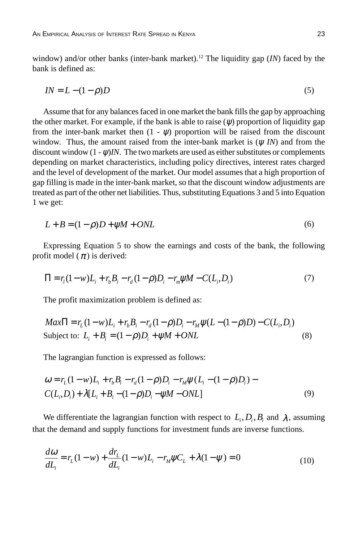window) and/or other banks (inter-bank market).12 The liquidity gap (*IN*) faced by the bank is defined as:

$$
IN = L - (1 - \rho)D\tag{5}
$$

Assume that for any balances faced in one market the bank fills the gap by approaching the other market. For example, if the bank is able to raise  $(\psi)$  proportion of liquidity gap from the inter-bank market then  $(1 - \psi)$  proportion will be raised from the discount window. Thus, the amount raised from the inter-bank market is (ψ *IN*) and from the discount window  $(1 - \psi)$ *IN*. The two markets are used as either substitutes or complements depending on market characteristics, including policy directives, interest rates charged and the level of development of the market. Our model assumes that a high proportion of gap filling is made in the inter-bank market, so that the discount window adjustments are treated as part of the other net liabilities. Thus, substituting Equations 3 and 5 into Equation 1 we get:

$$
L + B = (1 - \rho)D + \psi M + ONL
$$
 (6)

Expressing Equation 5 to show the earnings and costs of the bank, the following profit model ( $\pi$ ) is derived:

$$
\Pi = r_i (1 - w)L_i + r_b B_i - r_d (1 - \rho)D_i - r_m \psi M - C(L_i, D_i)
$$
\n(7)

The profit maximization problem is defined as:

$$
Max\Pi = r_L(1 - w)L_i + r_bB_i - r_d(1 - \rho)D_i - r_M\psi(L - (1 - \rho)D) - C(L_i, D_i)
$$
  
Subject to:  $L_i + B_i = (1 - \rho)D_i + \psi M + ONL$  (8)

The lagrangian function is expressed as follows:

$$
\omega = r_L(1 - w)L_i + r_b B_i - r_d(1 - \rho)D_i - r_M \psi (L_i - (1 - \rho)D_i) - C(L_i, D_i) + \lambda [L_i + B_i - (1 - \rho)D_i - \psi M - ONL]
$$
\n(9)

We differentiate the lagrangian function with respect to  $L_i, D_i, B_i$  and  $\lambda$ , assuming that the demand and supply functions for investment funds are inverse functions.

$$
\frac{d\omega}{dL_i} = r_L(1 - w) + \frac{dr_L}{dL_i}(1 - w)L_i - r_M\psi C_L + \lambda(1 - \psi) = 0
$$
\n(10)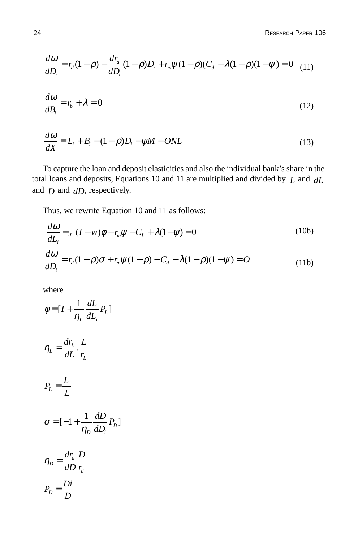**24** RESEARCH PAPER 106

$$
\frac{d\omega}{dD_i} = r_d(1-\rho) - \frac{dr_a}{dD_i}(1-\rho)D_i + r_m\psi(1-\rho)(C_d - \lambda(1-\rho)(1-\psi)) = 0 \quad (11)
$$

$$
\frac{d\omega}{dB_i} = r_b + \lambda = 0\tag{12}
$$

$$
\frac{d\omega}{dX} = L_i + B_i - (1 - \rho)D_i - \psi M - ONL
$$
\n(13)

To capture the loan and deposit elasticities and also the individual bank's share in the total loans and deposits, Equations 10 and 11 are multiplied and divided by *L* and *dL* and *D* and *dD*, respectively.

Thus, we rewrite Equation 10 and 11 as follows:

$$
\frac{d\omega}{dL_i} =_{r_L} (I - w)\phi - r_m \psi - C_L + \lambda (1 - \psi) = 0
$$
\n
$$
\frac{d\omega}{dD_i} = r_d (1 - \rho)\sigma + r_m \psi (1 - \rho) - C_d - \lambda (1 - \rho)(1 - \psi) = O
$$
\n(11b)

where

$$
\phi = [I + \frac{1}{\eta_L} \frac{dL}{dL_i} P_L]
$$

$$
\eta_L = \frac{dr_L}{dL} \cdot \frac{L}{r_L}
$$

$$
P_L = \frac{L_i}{L}
$$

$$
\sigma = [-1 + \frac{1}{\eta_D} \frac{dD}{dD_i} P_D]
$$

$$
\eta_D = \frac{dr_d}{dD} \frac{D}{r_d}
$$

$$
P_D = \frac{Di}{D}
$$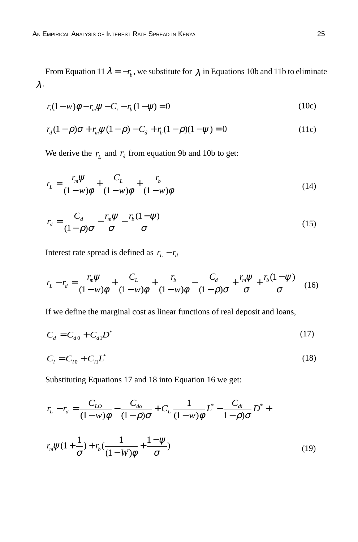From Equation 11  $\lambda = -r_b$ , we substitute for  $\lambda$  in Equations 10b and 11b to eliminate λ.

$$
r_i(1 - w)\phi - r_m\psi - C_i - r_b(1 - \psi) = 0
$$
\n(10c)

$$
r_d(1-\rho)\sigma + r_m\psi(1-\rho) - C_d + r_b(1-\rho)(1-\psi) = 0
$$
\n(11c)

We derive the  $r<sub>L</sub>$  and  $r<sub>d</sub>$  from equation 9b and 10b to get:

$$
r_L = \frac{r_m \psi}{(1 - w)\phi} + \frac{C_L}{(1 - w)\phi} + \frac{r_b}{(1 - w)\phi}
$$
\n<sup>(14)</sup>

$$
r_d = \frac{C_d}{(1-\rho)\sigma} - \frac{r_m\psi}{\sigma} - \frac{r_b(1-\psi)}{\sigma}
$$
(15)

Interest rate spread is defined as  $r_L - r_d$ 

$$
r_{L} - r_{d} = \frac{r_{m}\psi}{(1 - w)\phi} + \frac{C_{L}}{(1 - w)\phi} + \frac{r_{b}}{(1 - w)\phi} - \frac{C_{d}}{(1 - \rho)\sigma} + \frac{r_{m}\psi}{\sigma} + \frac{r_{b}(1 - \psi)}{\sigma}
$$
(16)

If we define the marginal cost as linear functions of real deposit and loans,

$$
C_d = C_{d0} + C_{d1}D^*
$$
 (17)

$$
C_l = C_{l0} + C_{l1}L^* \tag{18}
$$

Substituting Equations 17 and 18 into Equation 16 we get:

$$
r_{L} - r_{d} = \frac{C_{LO}}{(1 - w)\phi} - \frac{C_{do}}{(1 - \rho)\sigma} + C_{L} \frac{1}{(1 - w)\phi} L^{*} - \frac{C_{di}}{1 - \rho)\sigma} D^{*} +
$$
  

$$
r_{m}\psi(1 + \frac{1}{\sigma}) + r_{b}(\frac{1}{(1 - W)\phi} + \frac{1 - \psi}{\sigma})
$$
 (19)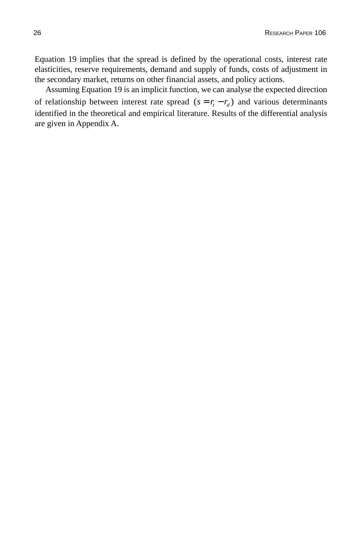Equation 19 implies that the spread is defined by the operational costs, interest rate elasticities, reserve requirements, demand and supply of funds, costs of adjustment in the secondary market, returns on other financial assets, and policy actions.

Assuming Equation 19 is an implicit function, we can analyse the expected direction of relationship between interest rate spread  $(s = r_t - r_d)$  and various determinants identified in the theoretical and empirical literature. Results of the differential analysis are given in Appendix A.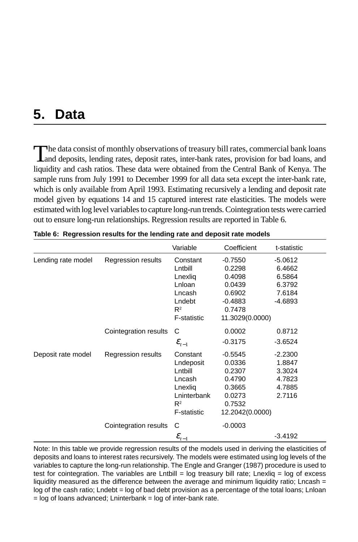## **5. Data**

The data consist of monthly observations of treasury bill rates, commercial bank loans Land deposits, lending rates, deposit rates, inter-bank rates, provision for bad loans, and liquidity and cash ratios. These data were obtained from the Central Bank of Kenya. The sample runs from July 1991 to December 1999 for all data seta except the inter-bank rate, which is only available from April 1993. Estimating recursively a lending and deposit rate model given by equations 14 and 15 captured interest rate elasticities. The models were estimated with log level variables to capture long-run trends. Cointegration tests were carried out to ensure long-run relationships. Regression results are reported in Table 6.

|                    |                       | Variable            | Coefficient     | t-statistic |
|--------------------|-----------------------|---------------------|-----------------|-------------|
| Lending rate model | Regression results    | Constant            | $-0.7550$       | $-5.0612$   |
|                    |                       | Lntbill             | 0.2298          | 6.4662      |
|                    |                       | Lnexlig             | 0.4098          | 6.5864      |
|                    |                       | Lnloan              | 0.0439          | 6.3792      |
|                    |                       | Lncash              | 0.6902          | 7.6184      |
|                    |                       | Lndebt              | $-0.4883$       | -4.6893     |
|                    |                       | $R^2$               | 0.7478          |             |
|                    |                       | <b>F-statistic</b>  | 11.3029(0.0000) |             |
|                    | Cointegration results | С                   | 0.0002          | 0.8712      |
|                    |                       | $\mathcal{E}_{t-1}$ | $-0.3175$       | $-3.6524$   |
| Deposit rate model | Regression results    | Constant            | $-0.5545$       | $-2.2300$   |
|                    |                       | Lndeposit           | 0.0336          | 1.8847      |
|                    |                       | Lntbill             | 0.2307          | 3.3024      |
|                    |                       | Lncash              | 0.4790          | 4.7823      |
|                    |                       | Lnexliq             | 0.3665          | 4.7885      |
|                    |                       | Lninterbank         | 0.0273          | 2.7116      |
|                    |                       | $R^2$               | 0.7532          |             |
|                    |                       | <b>F-statistic</b>  | 12.2042(0.0000) |             |
|                    | Cointegration results | С                   | $-0.0003$       |             |
|                    |                       | $\mathcal{E}_{t-1}$ |                 | $-3.4192$   |

Note: In this table we provide regression results of the models used in deriving the elasticities of deposits and loans to interest rates recursively. The models were estimated using log levels of the variables to capture the long-run relationship. The Engle and Granger (1987) procedure is used to test for cointegration. The variables are Lntbill = log treasury bill rate; Lnexliq = log of excess liquidity measured as the difference between the average and minimum liquidity ratio; Lncash  $=$ log of the cash ratio; Lndebt = log of bad debt provision as a percentage of the total loans; Lnloan  $=$  log of loans advanced; Lninterbank  $=$  log of inter-bank rate.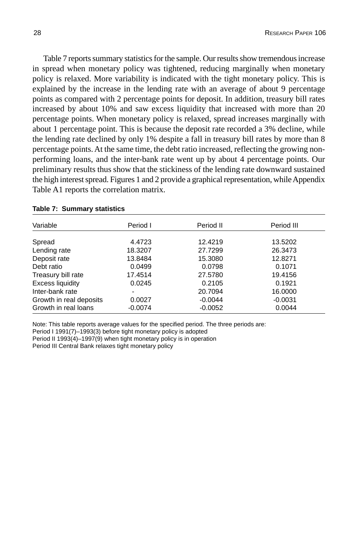Table 7 reports summary statistics for the sample. Our results show tremendous increase in spread when monetary policy was tightened, reducing marginally when monetary policy is relaxed. More variability is indicated with the tight monetary policy. This is explained by the increase in the lending rate with an average of about 9 percentage points as compared with 2 percentage points for deposit. In addition, treasury bill rates increased by about 10% and saw excess liquidity that increased with more than 20 percentage points. When monetary policy is relaxed, spread increases marginally with about 1 percentage point. This is because the deposit rate recorded a 3% decline, while the lending rate declined by only 1% despite a fall in treasury bill rates by more than 8 percentage points. At the same time, the debt ratio increased, reflecting the growing nonperforming loans, and the inter-bank rate went up by about 4 percentage points. Our preliminary results thus show that the stickiness of the lending rate downward sustained the high interest spread. Figures 1 and 2 provide a graphical representation, while Appendix Table A1 reports the correlation matrix.

| Period I  | Period II | Period III |
|-----------|-----------|------------|
|           |           |            |
|           |           | 13.5202    |
| 18.3207   | 27.7299   | 26.3473    |
| 13.8484   | 15.3080   | 12.8271    |
| 0.0499    | 0.0798    | 0.1071     |
| 17.4514   | 27.5780   | 19.4156    |
| 0.0245    | 0.2105    | 0.1921     |
|           | 20.7094   | 16,0000    |
| 0.0027    | $-0.0044$ | $-0.0031$  |
| $-0.0074$ | $-0.0052$ | 0.0044     |
|           | 4.4723    | 12.4219    |

#### **Table 7: Summary statistics**

Note: This table reports average values for the specified period. The three periods are:

Period I 1991(7)–1993(3) before tight monetary policy is adopted

Period II 1993(4)–1997(9) when tight monetary policy is in operation

Period III Central Bank relaxes tight monetary policy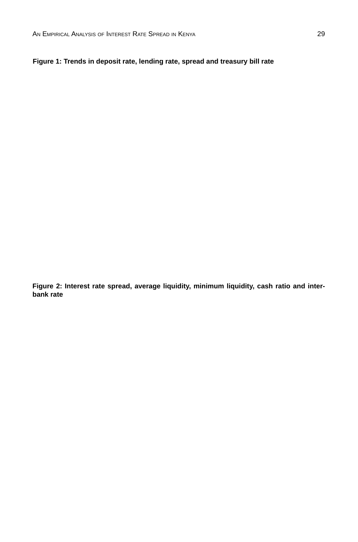#### **Figure 1: Trends in deposit rate, lending rate, spread and treasury bill rate**

**Figure 2: Interest rate spread, average liquidity, minimum liquidity, cash ratio and interbank rate**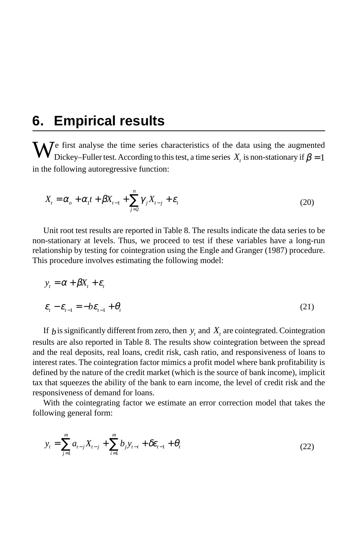## **6. Empirical results**

We first analyse the time series characteristics of the data using the augmented<br>Dickey–Fuller test. According to this test, a time series  $X_t$  is non-stationary if  $\beta = 1$ in the following autoregressive function:

$$
X_t = \alpha_o + \alpha_1 t + \beta X_{t-1} + \sum_{j=2}^n \gamma_j X_{t-j} + \varepsilon_t
$$
\n(20)

Unit root test results are reported in Table 8. The results indicate the data series to be non-stationary at levels. Thus, we proceed to test if these variables have a long-run relationship by testing for cointegration using the Engle and Granger (1987) procedure. This procedure involves estimating the following model:

$$
y_t = \alpha + \beta X_t + \varepsilon_t
$$
  

$$
\varepsilon_t - \varepsilon_{t-1} = -b\varepsilon_{t-1} + \theta_t
$$
 (21)

If  $b$  is significantly different from zero, then  $y_t$  and  $X_t$  are cointegrated. Cointegration results are also reported in Table 8. The results show cointegration between the spread and the real deposits, real loans, credit risk, cash ratio, and responsiveness of loans to interest rates. The cointegration factor mimics a profit model where bank profitability is defined by the nature of the credit market (which is the source of bank income), implicit tax that squeezes the ability of the bank to earn income, the level of credit risk and the responsiveness of demand for loans.

With the cointegrating factor we estimate an error correction model that takes the following general form:

$$
y_t = \sum_{j=1}^m a_{t-j} X_{t-j} + \sum_{i=1}^m b_j y_{t-i} + \delta \varepsilon_{t-1} + \theta_t
$$
 (22)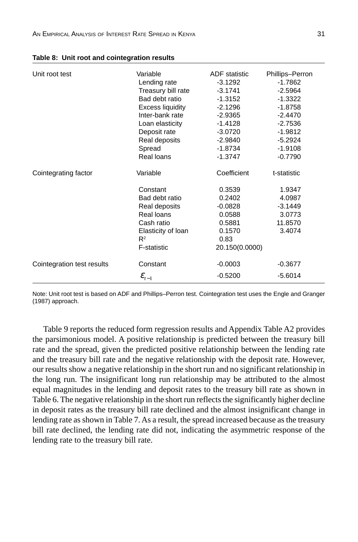| Unit root test             | Variable                                                                                                                     | <b>ADF</b> statistic                                                                  | Phillips-Perron                                              |
|----------------------------|------------------------------------------------------------------------------------------------------------------------------|---------------------------------------------------------------------------------------|--------------------------------------------------------------|
|                            | Lending rate                                                                                                                 | $-3.1292$                                                                             | -1.7862                                                      |
|                            | Treasury bill rate                                                                                                           | $-3.1741$                                                                             | $-2.5964$                                                    |
|                            | Bad debt ratio                                                                                                               | $-1.3152$                                                                             | $-1.3322$                                                    |
|                            | <b>Excess liquidity</b>                                                                                                      | $-2.1296$                                                                             | $-1.8758$                                                    |
|                            | Inter-bank rate                                                                                                              | $-2.9365$                                                                             | $-2.4470$                                                    |
|                            | Loan elasticity                                                                                                              | $-1.4128$                                                                             | $-2.7536$                                                    |
|                            | Deposit rate                                                                                                                 | $-3.0720$                                                                             | $-1.9812$                                                    |
|                            | Real deposits                                                                                                                | $-2.9840$                                                                             | $-5.2924$                                                    |
|                            | Spread                                                                                                                       | $-1.8734$                                                                             | $-1.9108$                                                    |
|                            | Real loans                                                                                                                   | $-1.3747$                                                                             | $-0.7790$                                                    |
| Cointegrating factor       | Variable                                                                                                                     | Coefficient                                                                           | t-statistic                                                  |
|                            | Constant<br>Bad debt ratio<br>Real deposits<br>Real loans<br>Cash ratio<br>Elasticity of loan<br>$R^2$<br><b>F-statistic</b> | 0.3539<br>0.2402<br>$-0.0828$<br>0.0588<br>0.5881<br>0.1570<br>0.83<br>20.150(0.0000) | 1.9347<br>4.0987<br>$-3.1449$<br>3.0773<br>11.8570<br>3.4074 |
| Cointegration test results | Constant                                                                                                                     | $-0.0003$                                                                             | $-0.3677$                                                    |
|                            | $\pmb{\mathcal{E}}_{t-1}$                                                                                                    | $-0.5200$                                                                             | $-5.6014$                                                    |

|  |  | Table 8: Unit root and cointegration results |  |
|--|--|----------------------------------------------|--|
|--|--|----------------------------------------------|--|

Note: Unit root test is based on ADF and Phillips–Perron test. Cointegration test uses the Engle and Granger (1987) approach.

Table 9 reports the reduced form regression results and Appendix Table A2 provides the parsimonious model. A positive relationship is predicted between the treasury bill rate and the spread, given the predicted positive relationship between the lending rate and the treasury bill rate and the negative relationship with the deposit rate. However, our results show a negative relationship in the short run and no significant relationship in the long run. The insignificant long run relationship may be attributed to the almost equal magnitudes in the lending and deposit rates to the treasury bill rate as shown in Table 6. The negative relationship in the short run reflects the significantly higher decline in deposit rates as the treasury bill rate declined and the almost insignificant change in lending rate as shown in Table 7. As a result, the spread increased because as the treasury bill rate declined, the lending rate did not, indicating the asymmetric response of the lending rate to the treasury bill rate.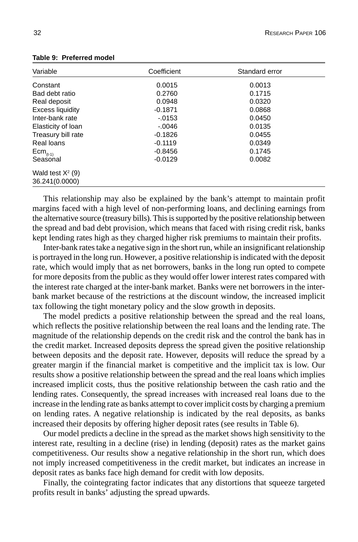| Variable                | Coefficient | Standard error |  |
|-------------------------|-------------|----------------|--|
| Constant                | 0.0015      | 0.0013         |  |
| Bad debt ratio          | 0.2760      | 0.1715         |  |
| Real deposit            | 0.0948      | 0.0320         |  |
| <b>Excess liquidity</b> | $-0.1871$   | 0.0868         |  |
| Inter-bank rate         | $-.0153$    | 0.0450         |  |
| Elasticity of Ioan      | $-.0046$    | 0.0135         |  |
| Treasury bill rate      | $-0.1826$   | 0.0455         |  |
| Real loans              | $-0.1119$   | 0.0349         |  |
| $Em_{(t-1)}$            | $-0.8456$   | 0.1745         |  |
| Seasonal                | $-0.0129$   | 0.0082         |  |
| Wald test $X^2$ (9)     |             |                |  |
| 36.241(0.0000)          |             |                |  |

**Table 9: Preferred model**

This relationship may also be explained by the bank's attempt to maintain profit margins faced with a high level of non-performing loans, and declining earnings from the alternative source (treasury bills). This is supported by the positive relationship between the spread and bad debt provision, which means that faced with rising credit risk, banks kept lending rates high as they charged higher risk premiums to maintain their profits.

Inter-bank rates take a negative sign in the short run, while an insignificant relationship is portrayed in the long run. However, a positive relationship is indicated with the deposit rate, which would imply that as net borrowers, banks in the long run opted to compete for more deposits from the public as they would offer lower interest rates compared with the interest rate charged at the inter-bank market. Banks were net borrowers in the interbank market because of the restrictions at the discount window, the increased implicit tax following the tight monetary policy and the slow growth in deposits.

The model predicts a positive relationship between the spread and the real loans, which reflects the positive relationship between the real loans and the lending rate. The magnitude of the relationship depends on the credit risk and the control the bank has in the credit market. Increased deposits depress the spread given the positive relationship between deposits and the deposit rate. However, deposits will reduce the spread by a greater margin if the financial market is competitive and the implicit tax is low. Our results show a positive relationship between the spread and the real loans which implies increased implicit costs, thus the positive relationship between the cash ratio and the lending rates. Consequently, the spread increases with increased real loans due to the increase in the lending rate as banks attempt to cover implicit costs by charging a premium on lending rates. A negative relationship is indicated by the real deposits, as banks increased their deposits by offering higher deposit rates (see results in Table 6).

Our model predicts a decline in the spread as the market shows high sensitivity to the interest rate, resulting in a decline (rise) in lending (deposit) rates as the market gains competitiveness. Our results show a negative relationship in the short run, which does not imply increased competitiveness in the credit market, but indicates an increase in deposit rates as banks face high demand for credit with low deposits.

Finally, the cointegrating factor indicates that any distortions that squeeze targeted profits result in banks' adjusting the spread upwards.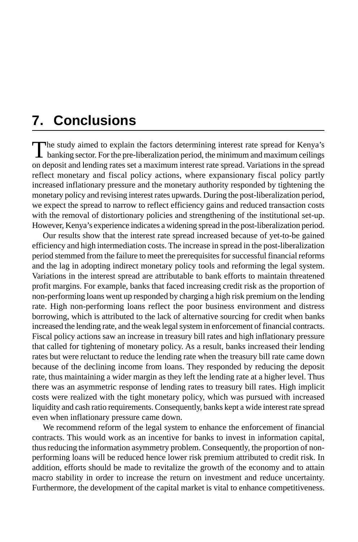## **7. Conclusions**

The study aimed to explain the factors determining interest rate spread for Kenya's<br>banking sector. For the pre-liberalization period, the minimum and maximum ceilings on deposit and lending rates set a maximum interest rate spread. Variations in the spread reflect monetary and fiscal policy actions, where expansionary fiscal policy partly increased inflationary pressure and the monetary authority responded by tightening the monetary policy and revising interest rates upwards. During the post-liberalization period, we expect the spread to narrow to reflect efficiency gains and reduced transaction costs with the removal of distortionary policies and strengthening of the institutional set-up. However, Kenya's experience indicates a widening spread in the post-liberalization period.

Our results show that the interest rate spread increased because of yet-to-be gained efficiency and high intermediation costs. The increase in spread in the post-liberalization period stemmed from the failure to meet the prerequisites for successful financial reforms and the lag in adopting indirect monetary policy tools and reforming the legal system. Variations in the interest spread are attributable to bank efforts to maintain threatened profit margins. For example, banks that faced increasing credit risk as the proportion of non-performing loans went up responded by charging a high risk premium on the lending rate. High non-performing loans reflect the poor business environment and distress borrowing, which is attributed to the lack of alternative sourcing for credit when banks increased the lending rate, and the weak legal system in enforcement of financial contracts. Fiscal policy actions saw an increase in treasury bill rates and high inflationary pressure that called for tightening of monetary policy. As a result, banks increased their lending rates but were reluctant to reduce the lending rate when the treasury bill rate came down because of the declining income from loans. They responded by reducing the deposit rate, thus maintaining a wider margin as they left the lending rate at a higher level. Thus there was an asymmetric response of lending rates to treasury bill rates. High implicit costs were realized with the tight monetary policy, which was pursued with increased liquidity and cash ratio requirements. Consequently, banks kept a wide interest rate spread even when inflationary pressure came down.

We recommend reform of the legal system to enhance the enforcement of financial contracts. This would work as an incentive for banks to invest in information capital, thus reducing the information asymmetry problem. Consequently, the proportion of nonperforming loans will be reduced hence lower risk premium attributed to credit risk. In addition, efforts should be made to revitalize the growth of the economy and to attain macro stability in order to increase the return on investment and reduce uncertainty. Furthermore, the development of the capital market is vital to enhance competitiveness.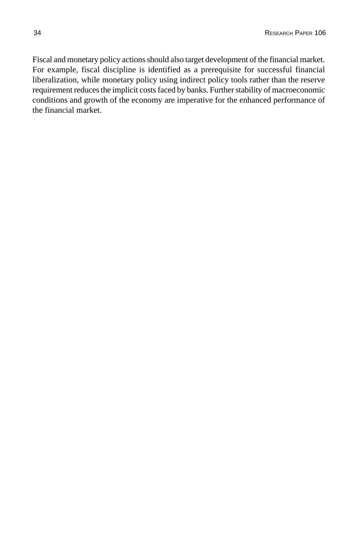Fiscal and monetary policy actions should also target development of the financial market. For example, fiscal discipline is identified as a prerequisite for successful financial liberalization, while monetary policy using indirect policy tools rather than the reserve requirement reduces the implicit costs faced by banks. Further stability of macroeconomic conditions and growth of the economy are imperative for the enhanced performance of the financial market.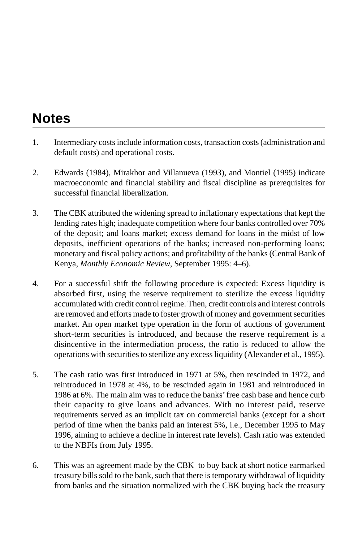## **Notes**

- 1. Intermediary costs include information costs, transaction costs (administration and default costs) and operational costs.
- 2. Edwards (1984), Mirakhor and Villanueva (1993), and Montiel (1995) indicate macroeconomic and financial stability and fiscal discipline as prerequisites for successful financial liberalization.
- 3. The CBK attributed the widening spread to inflationary expectations that kept the lending rates high; inadequate competition where four banks controlled over 70% of the deposit; and loans market; excess demand for loans in the midst of low deposits, inefficient operations of the banks; increased non-performing loans; monetary and fiscal policy actions; and profitability of the banks (Central Bank of Kenya, *Monthly Economic Review*, September 1995: 4–6).
- 4. For a successful shift the following procedure is expected: Excess liquidity is absorbed first, using the reserve requirement to sterilize the excess liquidity accumulated with credit control regime. Then, credit controls and interest controls are removed and efforts made to foster growth of money and government securities market. An open market type operation in the form of auctions of government short-term securities is introduced, and because the reserve requirement is a disincentive in the intermediation process, the ratio is reduced to allow the operations with securities to sterilize any excess liquidity (Alexander et al., 1995).
- 5. The cash ratio was first introduced in 1971 at 5%, then rescinded in 1972, and reintroduced in 1978 at 4%, to be rescinded again in 1981 and reintroduced in 1986 at 6%. The main aim was to reduce the banks' free cash base and hence curb their capacity to give loans and advances. With no interest paid, reserve requirements served as an implicit tax on commercial banks (except for a short period of time when the banks paid an interest 5%, i.e., December 1995 to May 1996, aiming to achieve a decline in interest rate levels). Cash ratio was extended to the NBFIs from July 1995.
- 6. This was an agreement made by the CBK to buy back at short notice earmarked treasury bills sold to the bank, such that there is temporary withdrawal of liquidity from banks and the situation normalized with the CBK buying back the treasury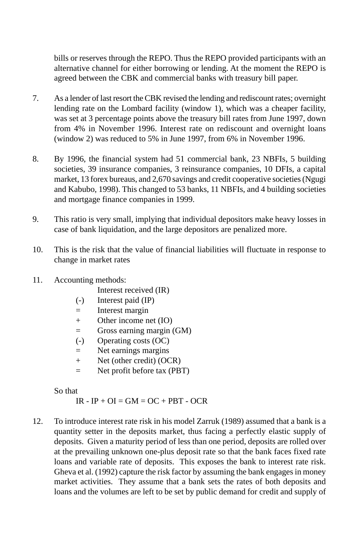bills or reserves through the REPO. Thus the REPO provided participants with an alternative channel for either borrowing or lending. At the moment the REPO is agreed between the CBK and commercial banks with treasury bill paper.

- 7. As a lender of last resort the CBK revised the lending and rediscount rates; overnight lending rate on the Lombard facility (window 1), which was a cheaper facility, was set at 3 percentage points above the treasury bill rates from June 1997, down from 4% in November 1996. Interest rate on rediscount and overnight loans (window 2) was reduced to 5% in June 1997, from 6% in November 1996.
- 8. By 1996, the financial system had 51 commercial bank, 23 NBFIs, 5 building societies, 39 insurance companies, 3 reinsurance companies, 10 DFIs, a capital market, 13 forex bureaus, and 2,670 savings and credit cooperative societies (Ngugi and Kabubo, 1998). This changed to 53 banks, 11 NBFIs, and 4 building societies and mortgage finance companies in 1999.
- 9. This ratio is very small, implying that individual depositors make heavy losses in case of bank liquidation, and the large depositors are penalized more.
- 10. This is the risk that the value of financial liabilities will fluctuate in response to change in market rates
- 11. Accounting methods:
	- Interest received (IR)
	- (-) Interest paid (IP)
	- $=$  Interest margin
	- + Other income net (IO)
	- = Gross earning margin (GM)
	- (-) Operating costs (OC)
	- = Net earnings margins
	- + Net (other credit) (OCR)
	- = Net profit before tax (PBT)

So that

 $IR - IP + OI = GM = OC + PBT - OCR$ 

12. To introduce interest rate risk in his model Zarruk (1989) assumed that a bank is a quantity setter in the deposits market, thus facing a perfectly elastic supply of deposits. Given a maturity period of less than one period, deposits are rolled over at the prevailing unknown one-plus deposit rate so that the bank faces fixed rate loans and variable rate of deposits. This exposes the bank to interest rate risk. Gheva et al. (1992) capture the risk factor by assuming the bank engages in money market activities. They assume that a bank sets the rates of both deposits and loans and the volumes are left to be set by public demand for credit and supply of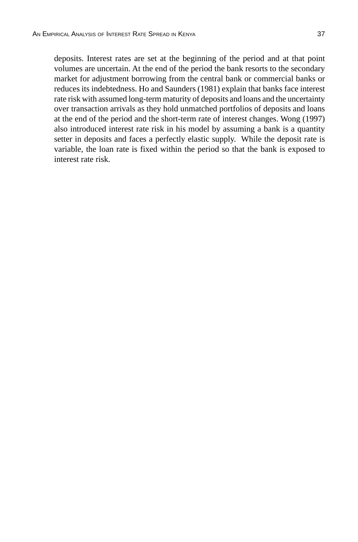deposits. Interest rates are set at the beginning of the period and at that point volumes are uncertain. At the end of the period the bank resorts to the secondary market for adjustment borrowing from the central bank or commercial banks or reduces its indebtedness. Ho and Saunders (1981) explain that banks face interest rate risk with assumed long-term maturity of deposits and loans and the uncertainty over transaction arrivals as they hold unmatched portfolios of deposits and loans at the end of the period and the short-term rate of interest changes. Wong (1997) also introduced interest rate risk in his model by assuming a bank is a quantity setter in deposits and faces a perfectly elastic supply. While the deposit rate is variable, the loan rate is fixed within the period so that the bank is exposed to interest rate risk.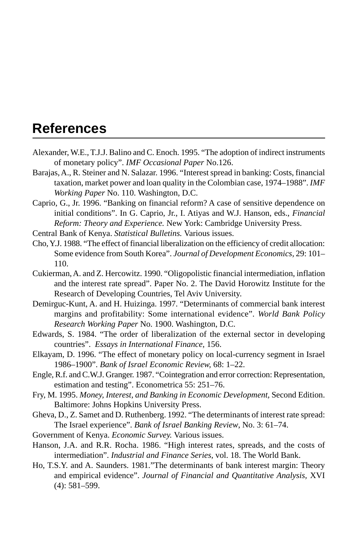## **References**

- Alexander, W.E., T.J.J. Balino and C. Enoch. 1995. "The adoption of indirect instruments of monetary policy". *IMF Occasional Paper* No.126.
- Barajas, A., R. Steiner and N. Salazar. 1996. "Interest spread in banking: Costs, financial taxation, market power and loan quality in the Colombian case, 1974–1988". *IMF Working Paper* No. 110. Washington, D.C.
- Caprio, G., Jr. 1996. "Banking on financial reform? A case of sensitive dependence on initial conditions". In G. Caprio, Jr., I. Atiyas and W.J. Hanson, eds., *Financial Reform: Theory and Experience.* New York: Cambridge University Press.

Central Bank of Kenya. *Statistical Bulletins.* Various issues.

- Cho, Y.J. 1988. "The effect of financial liberalization on the efficiency of credit allocation: Some evidence from South Korea". *Journal of Development Economics,* 29: 101– 110.
- Cukierman, A. and Z. Hercowitz. 1990. "Oligopolistic financial intermediation, inflation and the interest rate spread". Paper No. 2. The David Horowitz Institute for the Research of Developing Countries, Tel Aviv University.
- Demirguc-Kunt, A. and H. Huizinga. 1997. "Determinants of commercial bank interest margins and profitability: Some international evidence". *World Bank Policy Research Working Paper* No. 1900. Washington, D.C.
- Edwards, S. 1984. "The order of liberalization of the external sector in developing countries". *Essays in International Finance,* 156.
- Elkayam, D. 1996. "The effect of monetary policy on local-currency segment in Israel 1986–1900". *Bank of Israel Economic Review,* 68: 1–22.
- Engle, R.f. and C.W.J. Granger. 1987. "Cointegration and error correction: Representation, estimation and testing". Econometrica 55: 251–76.
- Fry, M. 1995. *Money, Interest, and Banking in Economic Development,* Second Edition. Baltimore: Johns Hopkins University Press.
- Gheva, D., Z. Samet and D. Ruthenberg. 1992. "The determinants of interest rate spread: The Israel experience". *Bank of Israel Banking Review*, No. 3: 61–74.
- Government of Kenya. *Economic Survey.* Various issues.
- Hanson, J.A. and R.R. Rocha. 1986. "High interest rates, spreads, and the costs of intermediation". *Industrial and Finance Series,* vol. 18. The World Bank.
- Ho, T.S.Y. and A. Saunders. 1981."The determinants of bank interest margin: Theory and empirical evidence". *Journal of Financial and Quantitative Analysis,* XVI (4): 581–599.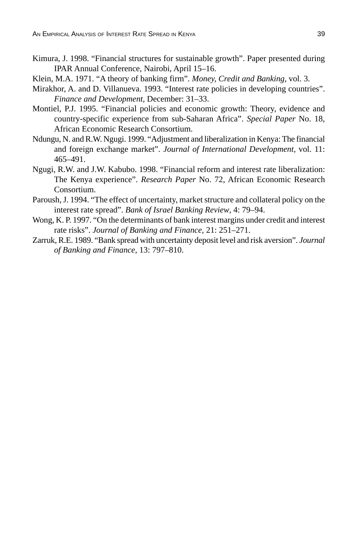- Kimura, J. 1998. "Financial structures for sustainable growth". Paper presented during IPAR Annual Conference, Nairobi, April 15–16.
- Klein, M.A. 1971. "A theory of banking firm". *Money, Credit and Banking,* vol. 3.
- Mirakhor, A. and D. Villanueva. 1993. "Interest rate policies in developing countries". *Finance and Development,* December: 31–33.
- Montiel, P.J. 1995. "Financial policies and economic growth: Theory, evidence and country-specific experience from sub-Saharan Africa". *Special Paper* No. 18, African Economic Research Consortium.
- Ndungu, N. and R.W. Ngugi. 1999. "Adjustment and liberalization in Kenya: The financial and foreign exchange market". *Journal of International Development,* vol. 11: 465–491.
- Ngugi, R.W. and J.W. Kabubo. 1998. "Financial reform and interest rate liberalization: The Kenya experience". *Research Paper* No. 72, African Economic Research Consortium.
- Paroush, J. 1994. "The effect of uncertainty, market structure and collateral policy on the interest rate spread". *Bank of Israel Banking Review*, 4: 79–94.
- Wong, K. P. 1997. "On the determinants of bank interest margins under credit and interest rate risks". *Journal of Banking and Finance,* 21: 251–271.
- Zarruk, R.E. 1989. "Bank spread with uncertainty deposit level and risk aversion". *Journal of Banking and Finance*, 13: 797–810.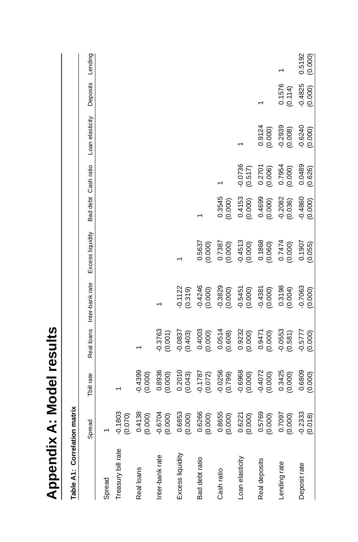| ï<br>١ |  |
|--------|--|
|        |  |
| ı      |  |
| J      |  |

| į      |
|--------|
| ż<br>7 |

| Table A1: Correlation matrix |                        |                      |                      |                            |                      |                      |                      |                      |                      |                   |
|------------------------------|------------------------|----------------------|----------------------|----------------------------|----------------------|----------------------|----------------------|----------------------|----------------------|-------------------|
|                              | Spread                 | Tbill rate           |                      | Real loans Inter-bank rate | Excess liquidity     | Bad debt Cash ratio  |                      | Loan elasticity      | Deposits             | Lending           |
| Spread                       |                        |                      |                      |                            |                      |                      |                      |                      |                      |                   |
| Treasury bill rate           | $-0.1803$<br>(0.070)   |                      |                      |                            |                      |                      |                      |                      |                      |                   |
| Real loans                   | $0.4138$<br>(0.000)    | $-0.4399$<br>(0.000) |                      |                            |                      |                      |                      |                      |                      |                   |
| Inter-bank rate              | $-0.6704$<br>(0.000)   | 0.8936<br>(0.000)    | $-0.3763$<br>(0.001) |                            |                      |                      |                      |                      |                      |                   |
| Excess liquidity             | 0.6853<br>(0.000)      | 0.2010<br>(0.043)    | $-0.0837$<br>(0.403) | $-0.1122$<br>(0.319)       |                      |                      |                      |                      |                      |                   |
| Bad debt ratio               | 0.6266<br>(0.000)      | $-0.1787$<br>(0.072) | 0.4003<br>(0.000)    | $-0.4246$<br>(0.000)       | 0.5637<br>(0.000)    |                      |                      |                      |                      |                   |
| Cash ratio                   | $0.8655$<br>$(0.000)$  | $-0.0256$<br>(0.799) | (0.0514)             | $-0.3829$<br>(0.000)       | 0.7387<br>(0.000)    | 0.3545<br>(0.000)    |                      |                      |                      |                   |
| Loan elasticity              | $0.6221$<br>$(0.000)$  | $-0.6968$<br>(0.000) | 0.9232<br>(0.000)    | $-0.5451$<br>(0.000)       | $-0.4513$<br>(0.000) | 0.4153<br>(0.000)    | $-0.0736$<br>(0.517) |                      |                      |                   |
| Real deposits                | 0.5769<br>(0.000)      | $-0.4072$<br>(0.000) | 0.9471<br>(0.000)    | $-0.4381$<br>(0.000)       | 0.1868<br>(0.060)    | 0.4699<br>(0.000)    | 0.2701<br>(0.006)    | 0.9124<br>(0.000)    |                      |                   |
| Lending rate                 | (000.0)                | 0.3425<br>(0.000)    | $-0.0553$<br>(0.581) | 0.3198<br>(0.004)          | 0.7474<br>(0.000)    | $-0.2082$<br>(0.036) | 0.7954<br>(0.000)    | $-0.2939$<br>(0.008) | 0.1576<br>(0.114)    |                   |
| Deposit rate                 | $-0.2333$<br>$(0.018)$ | 0.6809<br>(0.000)    | $-0.5777$<br>(0.000) | $-0.7063$<br>(0.000)       | 0.1907<br>(0.055)    | $-0.4860$<br>(0.000) | 0.0489<br>(0.626)    | $-0.6240$<br>(0.000) | $-0.4825$<br>(0.000) | 0.5192<br>(0.000) |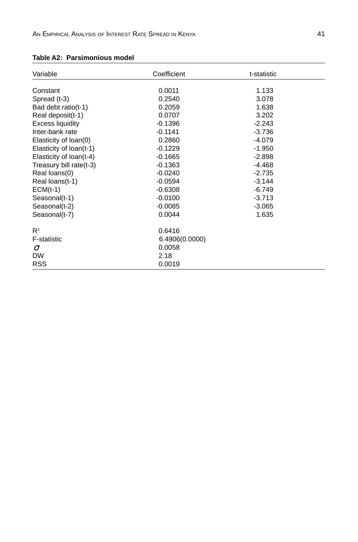| Variable                | Coefficient    | t-statistic |  |
|-------------------------|----------------|-------------|--|
|                         |                |             |  |
| Constant                | 0.0011         | 1.133       |  |
| Spread (t-3)            | 0.2540         | 3.078       |  |
| Bad debt ratio(t-1)     | 0.2059         | 1.638       |  |
| Real deposit(t-1)       | 0.0707         | 3.202       |  |
| Excess liquidity        | $-0.1396$      | $-2.243$    |  |
| Inter-bank rate         | $-0.1141$      | $-3.736$    |  |
| Elasticity of loan(0)   | 0.2860         | $-4.079$    |  |
| Elasticity of loan(t-1) | $-0.1229$      | $-1.950$    |  |
| Elasticity of loan(t-4) | $-0.1665$      | $-2.898$    |  |
| Treasury bill rate(t-3) | $-0.1363$      | $-4.468$    |  |
| Real loans(0)           | $-0.0240$      | $-2.735$    |  |
| Real loans(t-1)         | $-0.0594$      | $-3.144$    |  |
| $ECM(t-1)$              | $-0.6308$      | $-6.749$    |  |
| Seasonal(t-1)           | $-0.0100$      | $-3.713$    |  |
| Seasonal(t-2)           | $-0.0085$      | $-3.065$    |  |
| Seasonal(t-7)           | 0.0044         | 1.635       |  |
| $R^2$                   | 0.6416         |             |  |
| <b>F-statistic</b>      | 6.4906(0.0000) |             |  |
| $\sigma$                | 0.0058         |             |  |
| <b>DW</b>               | 2.18           |             |  |
| <b>RSS</b>              | 0.0019         |             |  |

#### **Table A2: Parsimonious model**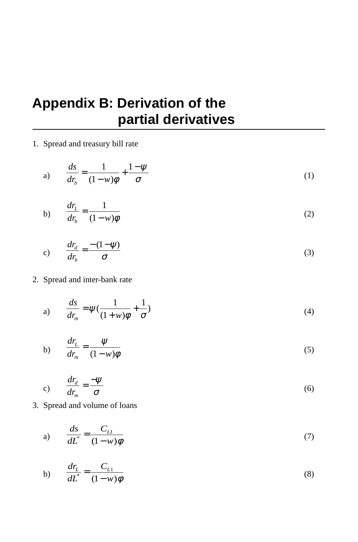## **Appendix B: Derivation of the partial derivatives**

#### 1. Spread and treasury bill rate

a) 
$$
\frac{ds}{dr_b} = \frac{1}{(1-w)\phi} + \frac{1-\psi}{\sigma}
$$
 (1)

$$
b) \qquad \frac{dr_L}{dr_b} = \frac{1}{(1 - w)\phi} \tag{2}
$$

$$
c) \qquad \frac{dr_d}{dr_b} = \frac{-(1-\psi)}{\sigma} \tag{3}
$$

#### 2. Spread and inter-bank rate

a) 
$$
\frac{ds}{dr_m} = \psi\left(\frac{1}{(1+w)\phi} + \frac{1}{\sigma}\right)
$$
 (4)

$$
b) \qquad \frac{dr_L}{dr_m} = \frac{\psi}{(1 - w)\phi} \tag{5}
$$

$$
c) \qquad \frac{dr_d}{dr_m} = \frac{-\psi}{\sigma} \tag{6}
$$

3. Spread and volume of loans

$$
a) \qquad \frac{ds}{dL^*} = \frac{C_{LI}}{(1 - w)\phi} \tag{7}
$$

b) 
$$
\frac{dr_L}{dL^*} = \frac{C_{L1}}{(1 - w)\phi}
$$
 (8)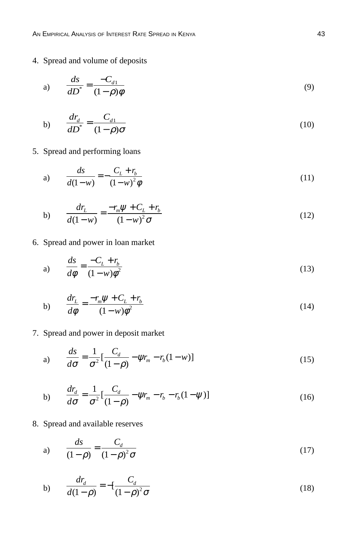AN EMPIRICAL ANALYSIS OF INTEREST RATE SPREAD IN KENYA 43

#### 4. Spread and volume of deposits

$$
a) \qquad \frac{ds}{dD^*} = \frac{-C_{d1}}{(1-\rho)\phi} \tag{9}
$$

$$
b) \qquad \frac{dr_d}{dD^*} = \frac{C_{d1}}{(1-\rho)\sigma} \tag{10}
$$

#### 5. Spread and performing loans

a) 
$$
\frac{ds}{d(1-w)} = -\frac{C_L + r_b}{(1-w)^2 \phi}
$$
 (11)

b) 
$$
\frac{dr_L}{d(1-w)} = \frac{-r_m \psi + C_L + r_b}{(1-w)^2 \sigma}
$$
(12)

6. Spread and power in loan market

$$
a) \qquad \frac{ds}{d\phi} = \frac{-C_L + r_b}{(1 - w)\phi^2} \tag{13}
$$

$$
b) \qquad \frac{dr_L}{d\phi} = \frac{-r_m \psi + C_L + r_b}{(1 - w)\phi^2} \tag{14}
$$

7. Spread and power in deposit market

a) 
$$
\frac{ds}{d\sigma} = \frac{1}{\sigma^2} \left[ \frac{C_d}{(1-\rho)} - \psi r_m - r_b (1-w) \right]
$$
 (15)

b) 
$$
\frac{dr_d}{d\sigma} = \frac{1}{\sigma^2} \left[ \frac{C_d}{(1-\rho)} - \psi r_m - r_b - r_b (1-\psi) \right]
$$
(16)

8. Spread and available reserves

a) 
$$
\frac{ds}{(1-\rho)} = \frac{C_d}{(1-\rho)^2 \sigma}
$$
 (17)

b) 
$$
\frac{dr_d}{d(1-\rho)} = -[\frac{C_d}{(1-\rho)^2 \sigma} \tag{18}
$$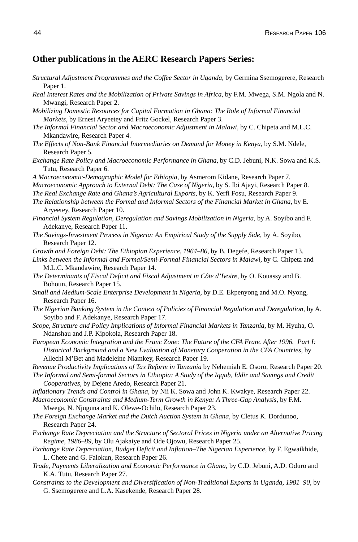#### **Other publications in the AERC Research Papers Series:**

- *Structural Adjustment Programmes and the Coffee Sector in Uganda*, by Germina Ssemogerere, Research Paper 1.
- *Real Interest Rates and the Mobilization of Private Savings in Africa,* by F.M. Mwega, S.M. Ngola and N. Mwangi, Research Paper 2.
- *Mobilizing Domestic Resources for Capital Formation in Ghana: The Role of Informal Financial Markets,* by Ernest Aryeetey and Fritz Gockel, Research Paper 3.
- *The Informal Financial Sector and Macroeconomic Adjustment in Malawi,* by C. Chipeta and M.L.C. Mkandawire, Research Paper 4.
- *The Effects of Non-Bank Financial Intermediaries on Demand for Money in Kenya,* by S.M. Ndele, Research Paper 5.
- *Exchange Rate Policy and Macroeconomic Performance in Ghana,* by C.D. Jebuni, N.K. Sowa and K.S. Tutu, Research Paper 6.
- *A Macroeconomic-Demographic Model for Ethiopia,* by Asmerom Kidane, Research Paper 7.
- *Macroeconomic Approach to External Debt: The Case of Nigeria,* by S. Ibi Ajayi, Research Paper 8.
- *The Real Exchange Rate and Ghana's Agricultural Exports,* by K. Yerfi Fosu, Research Paper 9.
- *The Relationship between the Formal and Informal Sectors of the Financial Market in Ghana,* by E. Aryeetey, Research Paper 10.
- *Financial System Regulation, Deregulation and Savings Mobilization in Nigeria,* by A. Soyibo and F. Adekanye, Research Paper 11.
- *The Savings-Investment Process in Nigeria: An Empirical Study of the Supply Side,* by A. Soyibo, Research Paper 12.
- *Growth and Foreign Debt: The Ethiopian Experience, 1964–86,* by B. Degefe, Research Paper 13.
- Links between the Informal and Formal/Semi-Formal Financial Sectors in Malawi, by C. Chipeta and M.L.C. Mkandawire, Research Paper 14.
- *The Determinants of Fiscal Deficit and Fiscal Adjustment in Côte d'Ivoire,* by O. Kouassy and B. Bohoun, Research Paper 15.
- *Small and Medium-Scale Enterprise Development in Nigeria,* by D.E. Ekpenyong and M.O. Nyong, Research Paper 16.
- *The Nigerian Banking System in the Context of Policies of Financial Regulation and Deregulation,* by A. Soyibo and F. Adekanye, Research Paper 17.
- *Scope, Structure and Policy Implications of Informal Financial Markets in Tanzania,* by M. Hyuha, O. Ndanshau and J.P. Kipokola, Research Paper 18.
- *European Economic Integration and the Franc Zone: The Future of the CFA Franc After 1996. Part I: Historical Background and a New Evaluation of Monetary Cooperation in the CFA Countries,* by Allechi M'Bet and Madeleine Niamkey, Research Paper 19.
- *Revenue Productivity Implications of Tax Reform in Tanzania* by Nehemiah E. Osoro, Research Paper 20.
- *The Informal and Semi-formal Sectors in Ethiopia: A Study of the Iqqub, Iddir and Savings and Credit Cooperatives,* by Dejene Aredo, Research Paper 21.
- *Inflationary Trends and Control in Ghana,* by Nii K. Sowa and John K. Kwakye, Research Paper 22.
- *Macroeconomic Constraints and Medium-Term Growth in Kenya: A Three-Gap Analysis,* by F.M.

Mwega, N. Njuguna and K. Olewe-Ochilo, Research Paper 23.

- *The Foreign Exchange Market and the Dutch Auction System in Ghana,* by Cletus K. Dordunoo, Research Paper 24.
- *Exchange Rate Depreciation and the Structure of Sectoral Prices in Nigeria under an Alternative Pricing Regime, 1986–89,* by Olu Ajakaiye and Ode Ojowu, Research Paper 25.
- *Exchange Rate Depreciation, Budget Deficit and Inflation–The Nigerian Experience,* by F. Egwaikhide, L. Chete and G. Falokun, Research Paper 26.
- *Trade, Payments Liberalization and Economic Performance in Ghana,* by C.D. Jebuni, A.D. Oduro and K.A. Tutu, Research Paper 27.
- *Constraints to the Development and Diversification of Non-Traditional Exports in Uganda, 1981–90,* by G. Ssemogerere and L.A. Kasekende, Research Paper 28.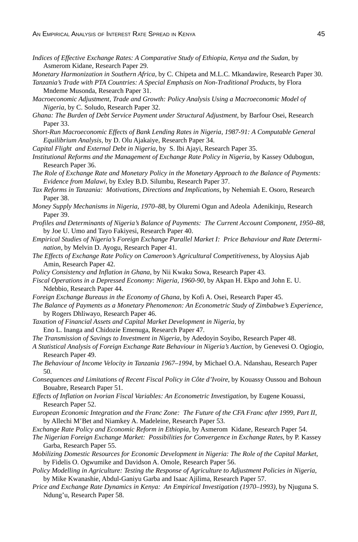- *Indices of Effective Exchange Rates: A Comparative Study of Ethiopia, Kenya and the Sudan,* by Asmerom Kidane, Research Paper 29.
- *Monetary Harmonization in Southern Africa,* by C. Chipeta and M.L.C. Mkandawire, Research Paper 30.

*Tanzania's Trade with PTA Countries: A Special Emphasis on Non-Traditional Products,* by Flora Mndeme Musonda, Research Paper 31.

- *Macroeconomic Adjustment, Trade and Growth: Policy Analysis Using a Macroeconomic Model of Nigeria,* by C. Soludo, Research Paper 32.
- *Ghana: The Burden of Debt Service Payment under Structural Adjustment,* by Barfour Osei, Research Paper 33.
- *Short-Run Macroeconomic Effects of Bank Lending Rates in Nigeria, 1987-91: A Computable General Equilibrium Analysis,* by D. Olu Ajakaiye, Research Paper 34.
- *Capital Flight and External Debt in Nigeria,* by S. Ibi Ajayi, Research Paper 35.
- *Institutional Reforms and the Management of Exchange Rate Policy in Nigeria,* by Kassey Odubogun, Research Paper 36.
- *The Role of Exchange Rate and Monetary Policy in the Monetary Approach to the Balance of Payments: Evidence from Malawi,* by Exley B.D. Silumbu, Research Paper 37.
- *Tax Reforms in Tanzania: Motivations, Directions and Implications,* by Nehemiah E. Osoro, Research Paper 38.
- *Money Supply Mechanisms in Nigeria, 1970–88,* by Oluremi Ogun and Adeola Adenikinju, Research Paper 39.
- *Profiles and Determinants of Nigeria's Balance of Payments: The Current Account Component, 1950–88,* by Joe U. Umo and Tayo Fakiyesi, Research Paper 40.
- *Empirical Studies of Nigeria's Foreign Exchange Parallel Market I: Price Behaviour and Rate Determination,* by Melvin D. Ayogu, Research Paper 41.
- *The Effects of Exchange Rate Policy on Cameroon's Agricultural Competitiveness,* by Aloysius Ajab Amin, Research Paper 42.
- *Policy Consistency and Inflation in Ghana,* by Nii Kwaku Sowa, Research Paper 43.
- *Fiscal Operations in a Depressed Economy: Nigeria, 1960-90,* by Akpan H. Ekpo and John E. U. Ndebbio, Research Paper 44.
- *Foreign Exchange Bureaus in the Economy of Ghana,* by Kofi A. Osei, Research Paper 45.
- *The Balance of Payments as a Monetary Phenomenon: An Econometric Study of Zimbabwe's Experience,* by Rogers Dhliwayo, Research Paper 46.
- *Taxation of Financial Assets and Capital Market Development in Nigeria,* by Eno L. Inanga and Chidozie Emenuga, Research Paper 47.
- *The Transmission of Savings to Investment in Nigeria,* by Adedoyin Soyibo, Research Paper 48.
- *A Statistical Analysis of Foreign Exchange Rate Behaviour in Nigeria's Auction,* by Genevesi O. Ogiogio, Research Paper 49.
- *The Behaviour of Income Velocity in Tanzania 1967–1994,* by Michael O.A. Ndanshau, Research Paper 50.
- *Consequences and Limitations of Recent Fiscal Policy in Côte d'Ivoire*, by Kouassy Oussou and Bohoun Bouabre, Research Paper 51.
- *Effects of Inflation on Ivorian Fiscal Variables: An Econometric Investigation*, by Eugene Kouassi, Research Paper 52.
- *European Economic Integration and the Franc Zone: The Future of the CFA Franc after 1999, Part II*, by Allechi M'Bet and Niamkey A. Madeleine, Research Paper 53.
- *Exchange Rate Policy and Economic Reform in Ethiopia*, by Asmerom Kidane, Research Paper 54.
- *The Nigerian Foreign Exchange Market: Possibilities for Convergence in Exchange Rates*, by P. Kassey Garba, Research Paper 55.
- *Mobilizing Domestic Resources for Economic Development in Nigeria: The Role of the Capital Market*, by Fidelis O. Ogwumike and Davidson A. Omole, Research Paper 56.
- *Policy Modelling in Agriculture: Testing the Response of Agriculture to Adjustment Policies in Nigeria*, by Mike Kwanashie, Abdul-Ganiyu Garba and Isaac Ajilima, Research Paper 57.
- *Price and Exchange Rate Dynamics in Kenya: An Empirical Investigation (1970–1993),* by Njuguna S. Ndung'u, Research Paper 58.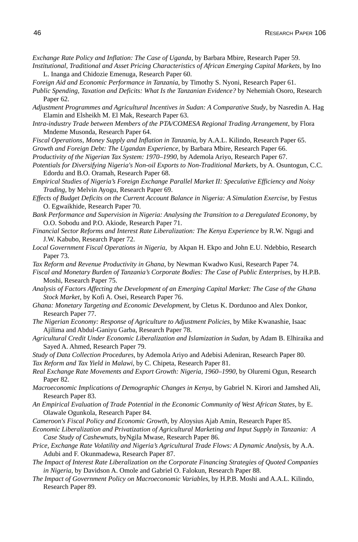- *Exchange Rate Policy and Inflation: The Case of Uganda,* by Barbara Mbire, Research Paper 59.
- *Institutional, Traditional and Asset Pricing Characteristics of African Emerging Capital Markets*, by Ino L. Inanga and Chidozie Emenuga, Research Paper 60.
- *Foreign Aid and Economic Performance in Tanzania*, by Timothy S. Nyoni, Research Paper 61.
- *Public Spending, Taxation and Deficits: What Is the Tanzanian Evidence?* by Nehemiah Osoro, Research Paper 62.
- *Adjustment Programmes and Agricultural Incentives in Sudan: A Comparative Study*, by Nasredin A. Hag Elamin and Elsheikh M. El Mak, Research Paper 63.
- *Intra-industry Trade between Members of the PTA/COMESA Regional Trading Arrangement*, by Flora Mndeme Musonda, Research Paper 64.
- *Fiscal Operations, Money Supply and Inflation in Tanzania*, by A.A.L. Kilindo, Research Paper 65.
- *Growth and Foreign Debt: The Ugandan Experience*, by Barbara Mbire, Research Paper 66.
- *Productivity of the Nigerian Tax System: 1970–1990*, by Ademola Ariyo, Research Paper 67.
- *Potentials for Diversifying Nigeria's Non-oil Exports to Non-Traditional Markets*, by A. Osuntogun, C.C. Edordu and B.O. Oramah, Research Paper 68.
- *Empirical Studies of Nigeria's Foreign Exchange Parallel Market II: Speculative Efficiency and Noisy Trading*, by Melvin Ayogu, Research Paper 69.
- *Effects of Budget Deficits on the Current Account Balance in Nigeria: A Simulation Exercise*, by Festus O. Egwaikhide, Research Paper 70.
- *Bank Performance and Supervision in Nigeria: Analysing the Transition to a Deregulated Economy*, by O.O. Sobodu and P.O. Akiode, Research Paper 71.
- *Financial Sector Reforms and Interest Rate Liberalization: The Kenya Experience* by R.W. Ngugi and J.W. Kabubo, Research Paper 72.
- *Local Government Fiscal Operations in Nigeria*, by Akpan H. Ekpo and John E.U. Ndebbio, Research Paper 73.
- *Tax Reform and Revenue Productivity in Ghana*, by Newman Kwadwo Kusi, Research Paper 74.
- *Fiscal and Monetary Burden of Tanzania's Corporate Bodies: The Case of Public Enterprises*, by H.P.B. Moshi, Research Paper 75.
- *Analysis of Factors Affecting the Development of an Emerging Capital Market: The Case of the Ghana Stock Market*, by Kofi A. Osei, Research Paper 76.
- *Ghana: Monetary Targeting and Economic Development*, by Cletus K. Dordunoo and Alex Donkor, Research Paper 77.
- *The Nigerian Economy: Response of Agriculture to Adjustment Policies*, by Mike Kwanashie, Isaac Ajilima and Abdul-Ganiyu Garba, Research Paper 78.
- *Agricultural Credit Under Economic Liberalization and Islamization in Sudan*, by Adam B. Elhiraika and Sayed A. Ahmed, Research Paper 79.
- *Study of Data Collection Procedures*, by Ademola Ariyo and Adebisi Adeniran, Research Paper 80. *Tax Reform and Tax Yield in Malawi*, by C. Chipeta, Research Paper 81.
- *Real Exchange Rate Movements and Export Growth: Nigeria, 1960–1990*, by Oluremi Ogun, Research Paper 82.
- *Macroeconomic Implications of Demographic Changes in Kenya*, by Gabriel N. Kirori and Jamshed Ali, Research Paper 83.
- *An Empirical Evaluation of Trade Potential in the Economic Community of West African States*, by E. Olawale Ogunkola, Research Paper 84.
- *Cameroon's Fiscal Policy and Economic Growth,* by Aloysius Ajab Amin, Research Paper 85.
- *Economic Liberalization and Privatization of Agricultural Marketing and Input Supply in Tanzania: A Case Study of Cashewnuts*, byNgila Mwase, Research Paper 86.
- *Price, Exchange Rate Volatility and Nigeria's Agricultural Trade Flows: A Dynamic Analysis*, by A.A. Adubi and F. Okunmadewa, Research Paper 87.
- *The Impact of Interest Rate Liberalization on the Corporate Financing Strategies of Quoted Companies in Nigeria*, by Davidson A. Omole and Gabriel O. Falokun, Research Paper 88.
- *The Impact of Government Policy on Macroeconomic Variables*, by H.P.B. Moshi and A.A.L. Kilindo, Research Paper 89.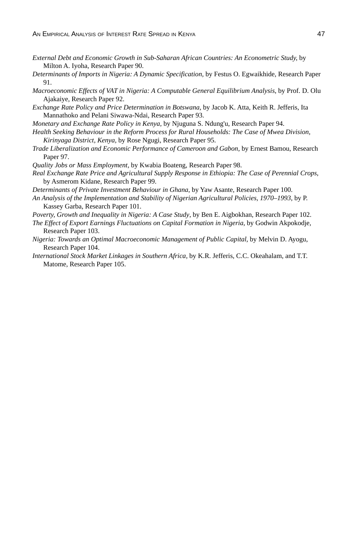- *External Debt and Economic Growth in Sub-Saharan African Countries: An Econometric Study,* by Milton A. Iyoha, Research Paper 90.
- *Determinants of Imports in Nigeria: A Dynamic Specification,* by Festus O. Egwaikhide, Research Paper 91.
- *Macroeconomic Effects of VAT in Nigeria: A Computable General Equilibrium Analysis*, by Prof. D. Olu Ajakaiye, Research Paper 92.
- *Exchange Rate Policy and Price Determination in Botswana*, by Jacob K. Atta, Keith R. Jefferis, Ita Mannathoko and Pelani Siwawa-Ndai, Research Paper 93.
- *Monetary and Exchange Rate Policy in Kenya,* by Njuguna S. Ndung'u, Research Paper 94.
- *Health Seeking Behaviour in the Reform Process for Rural Households: The Case of Mwea Division, Kirinyaga District, Kenya,* by Rose Ngugi, Research Paper 95.
- *Trade Liberalization and Economic Performance of Cameroon and Gabon*, by Ernest Bamou, Research Paper 97.
- *Quality Jobs or Mass Employment,* by Kwabia Boateng, Research Paper 98.
- *Real Exchange Rate Price and Agricultural Supply Response in Ethiopia: The Case of Perennial Crops*, by Asmerom Kidane, Research Paper 99.
- *Determinants of Private Investment Behaviour in Ghana*, by Yaw Asante, Research Paper 100.
- *An Analysis of the Implementation and Stability of Nigerian Agricultural Policies, 1970–1993*, by P. Kassey Garba, Research Paper 101.
- *Poverty, Growth and Inequality in Nigeria: A Case Study*, by Ben E. Aigbokhan, Research Paper 102.
- *The Effect of Export Earnings Fluctuations on Capital Formation in Nigeria*, by Godwin Akpokodje, Research Paper 103.
- *Nigeria: Towards an Optimal Macroeconomic Management of Public Capital*, by Melvin D. Ayogu, Research Paper 104.
- *International Stock Market Linkages in Southern Africa,* by K.R. Jefferis, C.C. Okeahalam, and T.T. Matome, Research Paper 105.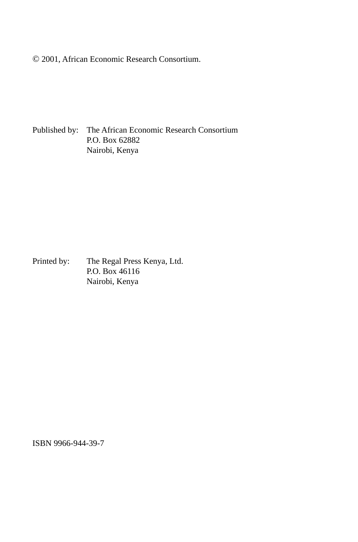© 2001, African Economic Research Consortium.

Published by: The African Economic Research Consortium P.O. Box 62882 Nairobi, Kenya

Printed by: The Regal Press Kenya, Ltd. P.O. Box 46116 Nairobi, Kenya

ISBN 9966-944-39-7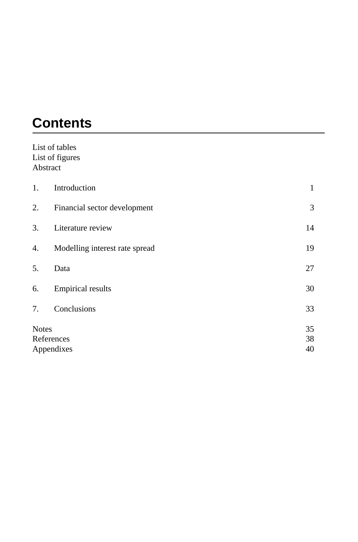# **Contents**

|              | List of tables                 |    |
|--------------|--------------------------------|----|
|              | List of figures                |    |
|              | Abstract                       |    |
| 1.           | Introduction                   | 1  |
| 2.           | Financial sector development   | 3  |
| 3.           | Literature review              | 14 |
| 4.           | Modelling interest rate spread | 19 |
| 5.           | Data                           | 27 |
| 6.           | <b>Empirical results</b>       | 30 |
| 7.           | Conclusions                    | 33 |
| <b>Notes</b> |                                | 35 |
|              | References                     | 38 |
|              | Appendixes                     | 40 |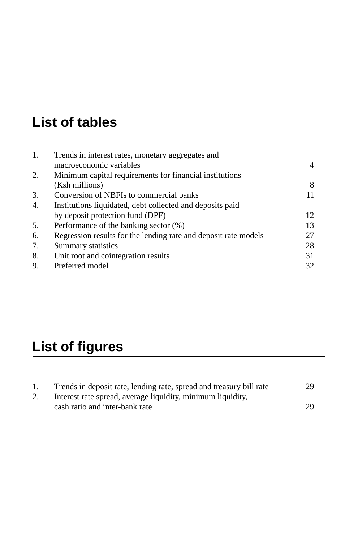# **List of tables**

| 1. | Trends in interest rates, monetary aggregates and               |    |
|----|-----------------------------------------------------------------|----|
|    | macroeconomic variables                                         | 4  |
| 2. | Minimum capital requirements for financial institutions         |    |
|    | (Ksh millions)                                                  | 8  |
| 3. | Conversion of NBFIs to commercial banks                         |    |
| 4. | Institutions liquidated, debt collected and deposits paid       |    |
|    | by deposit protection fund (DPF)                                | 12 |
| 5. | Performance of the banking sector (%)                           | 13 |
| 6. | Regression results for the lending rate and deposit rate models | 27 |
| 7. | Summary statistics                                              | 28 |
| 8. | Unit root and cointegration results                             | 31 |
| 9. | Preferred model                                                 | 32 |

# **List of figures**

| Trends in deposit rate, lending rate, spread and treasury bill rate | 29 |
|---------------------------------------------------------------------|----|
| Interest rate spread, average liquidity, minimum liquidity,         |    |
| cash ratio and inter-bank rate                                      | 29 |